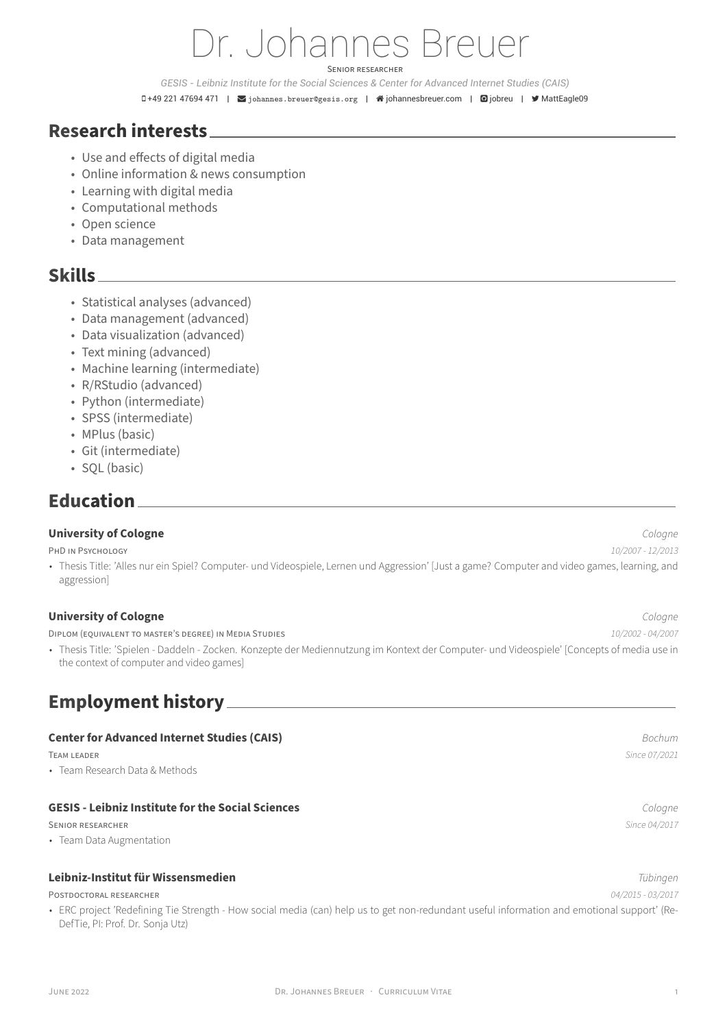# Dr. Johannes Breuer SENiOR RESEARCHER

*GESIS - Leibniz Institute for the Social Sciences & Center for Advanced Internet Studies (CAIS)*

 $\Box$  +49 221 47694 471 | ⊠johannes.breuer@gesis.org | ※johannesbreuer.com | **@**jobreu | ♥ MattEagle09

## **Research interests**

- Use and effects of digital med[ia](mailto:johannes.breuer@gesis.org)
- Online information & news consumption
- Learning with digital media
- Computational methods
- Open science
- Data management

# **Skills**

- Statistical analyses (advanced)
- Data management (advanced)
- Data visualization (advanced)
- Text mining (advanced)
- Machine learning (intermediate)
- R/RStudio (advanced)
- Python (intermediate)
- SPSS (intermediate)
- MPlus (basic)
- Git (intermediate)
- SQL (basic)

# **Education**

#### **University of Cologne** *Cologne*

PHD iN PSYCHOLOGY *10/2007 ‑ 12/2013*

• Thesis Title: 'Alles nur ein Spiel? Computer- und Videospiele, Lernen und Aggression' [Just a game? Computer and video games, learning, and aggression]

#### **University of Cologne** *Cologne*

DiPLOM (EQUiVALENT TO MASTER'S DEGREE) iN MEDiA STUDiES *10/2002 ‑ 04/2007*

• Thesis Title: 'Spielen ‑ Daddeln ‑ Zocken. Konzepte der Mediennutzung im Kontext der Computer‑ und Videospiele' [Concepts of media use in the context of computer and video games]

# **Employment history**

#### **Center for Advanced Internet Studies (CAIS)** *Bochum*

• Team Research Data & Methods

#### **GESIS ‑ Leibniz Institute for the Social Sciences** *Cologne*

SENiOR RESEARCHER *Since 04/2017*

• Team Data Augmentation

#### **Leibniz‑Institut für Wissensmedien** *Tübingen*

POSTDOCTORAL RESEARCHER *04/2015 ‑ 03/2017*

• ERC project 'Redefining Tie Strength - How social media (can) help us to get non-redundant useful information and emotional support' (Re-DefTie, PI: Prof. Dr. Sonja Utz)

TEAM LEADER *Since 07/2021*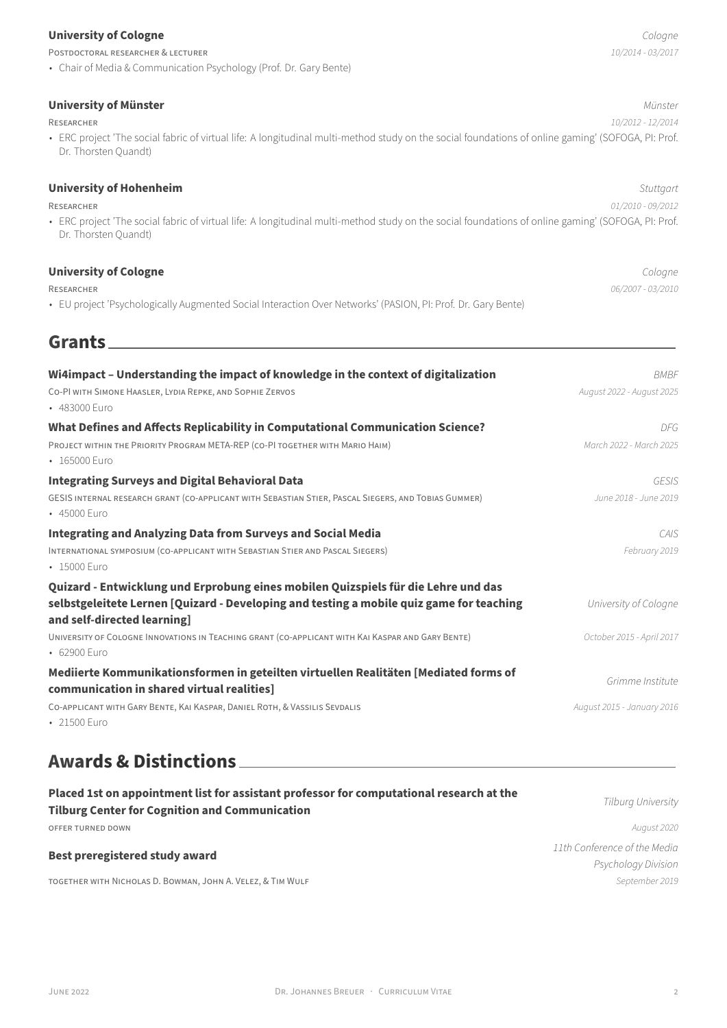#### **University of Cologne** *Cologne*

POSTDOCTORAL RESEARCHER & LECTURER *10/2014 ‑ 03/2017*

• Chair of Media & Communication Psychology (Prof. Dr. Gary Bente)

**University of Münster** *Münster*

RESEARCHER *10/2012 ‑ 12/2014*

• ERC project 'The social fabric of virtual life: A longitudinal multi-method study on the social foundations of online gaming' (SOFOGA, PI: Prof. Dr. Thorsten Quandt)

### **University of Hohenheim** *Stuttgart*

RESEARCHER *01/2010 ‑ 09/2012*

• ERC project 'The social fabric of virtual life: A longitudinal multi-method study on the social foundations of online gaming' (SOFOGA, PI: Prof. Dr. Thorsten Quandt)

## **University of Cologne** *Cologne*

RESEARCHER *06/2007 ‑ 03/2010*

• EU project 'Psychologically Augmented Social Interaction Over Networks' (PASION, PI: Prof. Dr. Gary Bente)

# **Grants**

| Wi4impact - Understanding the impact of knowledge in the context of digitalization                                                 | <b>BMBF</b>                |
|------------------------------------------------------------------------------------------------------------------------------------|----------------------------|
| CO-PI WITH SIMONE HAASLER, LYDIA REPKE, AND SOPHIE ZERVOS<br>• 483000 Furo                                                         | August 2022 - August 2025  |
| What Defines and Affects Replicability in Computational Communication Science?                                                     | DFG.                       |
| PROJECT WITHIN THE PRIORITY PROGRAM META-REP (CO-PI TOGETHER WITH MARIO HAIM)<br>• 165000 Euro                                     | March 2022 - March 2025    |
| <b>Integrating Surveys and Digital Behavioral Data</b>                                                                             | GESIS                      |
| GESIS INTERNAL RESEARCH GRANT (CO-APPLICANT WITH SEBASTIAN STIER, PASCAL SIEGERS, AND TOBIAS GUMMER)<br>• 45000 Euro               | June 2018 - June 2019      |
| <b>Integrating and Analyzing Data from Surveys and Social Media</b>                                                                | CAIS                       |
| INTERNATIONAL SYMPOSIUM (CO-APPLICANT WITH SEBASTIAN STIER AND PASCAL SIEGERS)<br>$-15000$ Furo                                    | February 2019              |
| Quizard - Entwicklung und Erprobung eines mobilen Quizspiels für die Lehre und das                                                 |                            |
| selbstgeleitete Lernen [Quizard - Developing and testing a mobile quiz game for teaching<br>and self-directed learning]            | University of Cologne      |
| UNIVERSITY OF COLOGNE INNOVATIONS IN TEACHING GRANT (CO-APPLICANT WITH KAI KASPAR AND GARY BENTE)<br>• 62900 Euro                  | October 2015 - April 2017  |
| Mediierte Kommunikationsformen in geteilten virtuellen Realitäten [Mediated forms of<br>communication in shared virtual realities] | Grimme Institute           |
| CO-APPLICANT WITH GARY BENTE, KAI KASPAR, DANIEL ROTH, & VASSILIS SEVDALIS<br>• 21500 Euro                                         | August 2015 - January 2016 |

# **Awards & Distinctions**

| Placed 1st on appointment list for assistant professor for computational research at the<br><b>Tilburg Center for Cognition and Communication</b> | Tilburg University           |
|---------------------------------------------------------------------------------------------------------------------------------------------------|------------------------------|
| OFFER TURNED DOWN                                                                                                                                 | August 2020                  |
| Best preregistered study award                                                                                                                    | 11th Conference of the Media |
|                                                                                                                                                   | Psychology Division          |
| TOGETHER WITH NICHOLAS D. BOWMAN, JOHN A. VELEZ, & TIM WULF                                                                                       | September 2019               |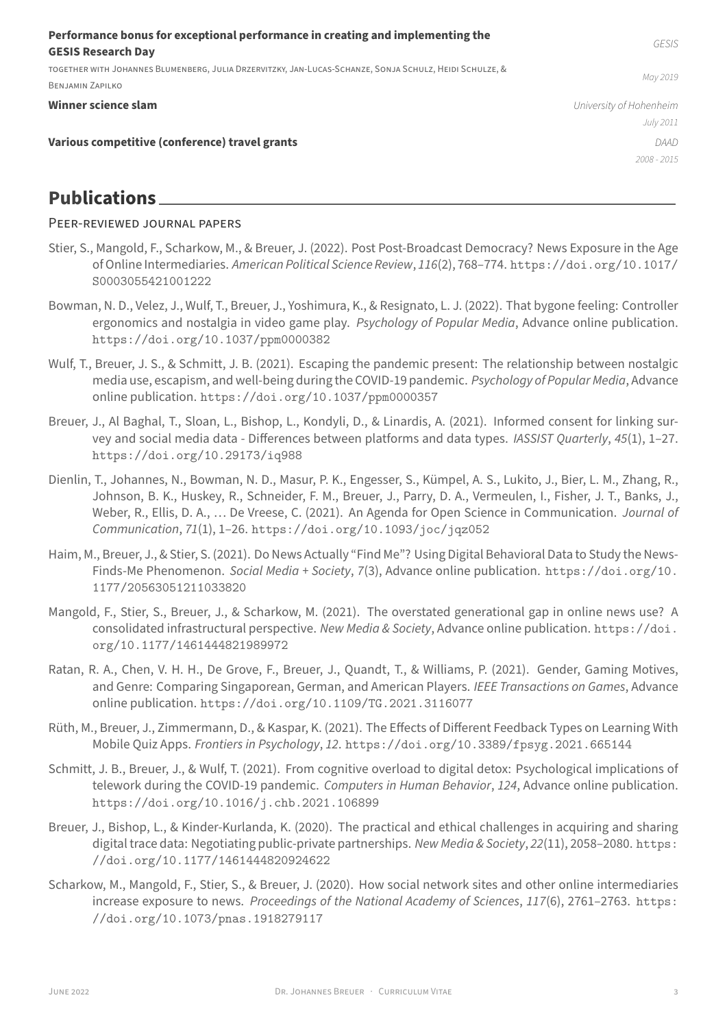TOGETHER WiTH JOHANNES BLUMENBERG, JULiA DRZERViTZKY, JAN‑LUCAS‑SCHANZE, SONJA SCHULZ, HEiDi SCHULZE, &

BENJAMiN ZAPiLKO

#### **Winner science slam** *University of Hohenheim*

*July 2011 2008 ‑ 2015*

#### **Various competitive (conference) travel grants** *DAAD*

# **Publications**

## PEER‑REViEWED JOURNAL PAPERS

- Stier, S., Mangold, F., Scharkow, M., & Breuer, J. (2022). Post Post-Broadcast Democracy? News Exposure in the Age of Online Intermediaries. *American Political Science Review*, *116*(2), 768–774. https://doi.org/10.1017/ S0003055421001222
- Bowman, N. D., Velez, J., Wulf, T., Breuer, J., Yoshimura, K., & Resignato, L. J. (2022). That bygone feeling: Controller ergonomics and nostalgia in video game play. *Psychology of Popular Media*[, Advance online publication.](https://doi.org/10.1017/S0003055421001222) [https://doi.org/1](https://doi.org/10.1017/S0003055421001222)0.1037/ppm0000382
- Wulf, T., Breuer, J. S., & Schmitt, J. B. (2021). Escaping the pandemic present: The relationship between nostalgic media use, escapism, and well‑being during the COVID‑19 pandemic. *Psychology of Popular Media*, Advance online publication. [https://doi.org/10.](https://doi.org/10.1037/ppm0000382)1037/ppm0000357
- Breuer, J., Al Baghal, T., Sloan, L., Bishop, L., Kondyli, D., & Linardis, A. (2021). Informed consent for linking survey and social media data ‑ Differences between platforms and data types. *IASSIST Quarterly*, *45*(1), 1–27. https://doi.org[/10.29173/iq988](https://doi.org/10.1037/ppm0000357)
- Dienlin, T., Johannes, N., Bowman, N. D., Masur, P. K., Engesser, S., Kümpel, A. S., Lukito, J., Bier, L. M., Zhang, R., Johnson, B. K., Huskey, R., Schneider, F. M., Breuer, J., Parry, D. A., Vermeulen, I., Fisher, J. T., Banks, J., [Weber, R., Ellis, D. A., … De Vreese, C.](https://doi.org/10.29173/iq988) (2021). An Agenda for Open Science in Communication. *Journal of Communication*, *71*(1), 1–26. https://doi.org/10.1093/joc/jqz052
- Haim, M., Breuer, J., & Stier, S. (2021). Do News Actually "Find Me"? Using Digital Behavioral Data to Study the News‑ Finds‑Me Phenomenon. *Social Media + Society*, *7*(3), Advance online publication. https://doi.org/10. 1177/20563051211033820
- Mangold, F., Stier, S., Breuer, J., & Scharkow, M. (2021). The overstated generational gap in online news use? A consolidated infrastructural perspective. *New Media & Society*, Advance online publication. [https://doi.](https://doi.org/10.1177/20563051211033820) [org/10.1177/14614448219](https://doi.org/10.1177/20563051211033820)89972
- Ratan, R. A., Chen, V. H. H., De Grove, F., Breuer, J., Quandt, T., & Williams, P. (2021). Gender, Gaming Motives, and Genre: Comparing Singaporean, German, and American Players. *IEEE Transactions on Games*[, Advance](https://doi.org/10.1177/1461444821989972) [online publication.](https://doi.org/10.1177/1461444821989972) https://doi.org/10.1109/TG.2021.3116077
- Rüth, M., Breuer, J., Zimmermann, D., & Kaspar, K. (2021). The Effects of Different Feedback Types on Learning With Mobile Quiz Apps. *Frontiers in Psychology*, *12*. https://doi.org/10.3389/fpsyg.2021.665144
- Schmitt, J. B., Breuer, J., & [Wulf, T. \(2021\). From cognitive overload to digital](https://doi.org/10.1109/TG.2021.3116077) detox: Psychological implications of telework during the COVID‑19 pandemic. *Computers in Human Behavior*, *124*, Advance online publication. https://doi.org/10.1016/j.chb.2021.1[06899](https://doi.org/10.3389/fpsyg.2021.665144)
- Breuer, J., Bishop, L., & Kinder-Kurlanda, K. (2020). The practical and ethical challenges in acquiring and sharing digital trace data: Negotiating public‑private partnerships. *New Media & Society*, *22*(11), 2058–2080. https: [//doi.org/10.1177/1461444820924622](https://doi.org/10.1016/j.chb.2021.106899)
- Scharkow, M., Mangold, F., Stier, S., & Breuer, J. (2020). How social network sites and other online intermediaries increase exposure to news. *Proceedings of the National Academy of Sciences*, *117*(6), 2761–2763. [https:](https://doi.org/10.1177/1461444820924622) [//doi.org/10.1073/pnas.1918279117](https://doi.org/10.1177/1461444820924622)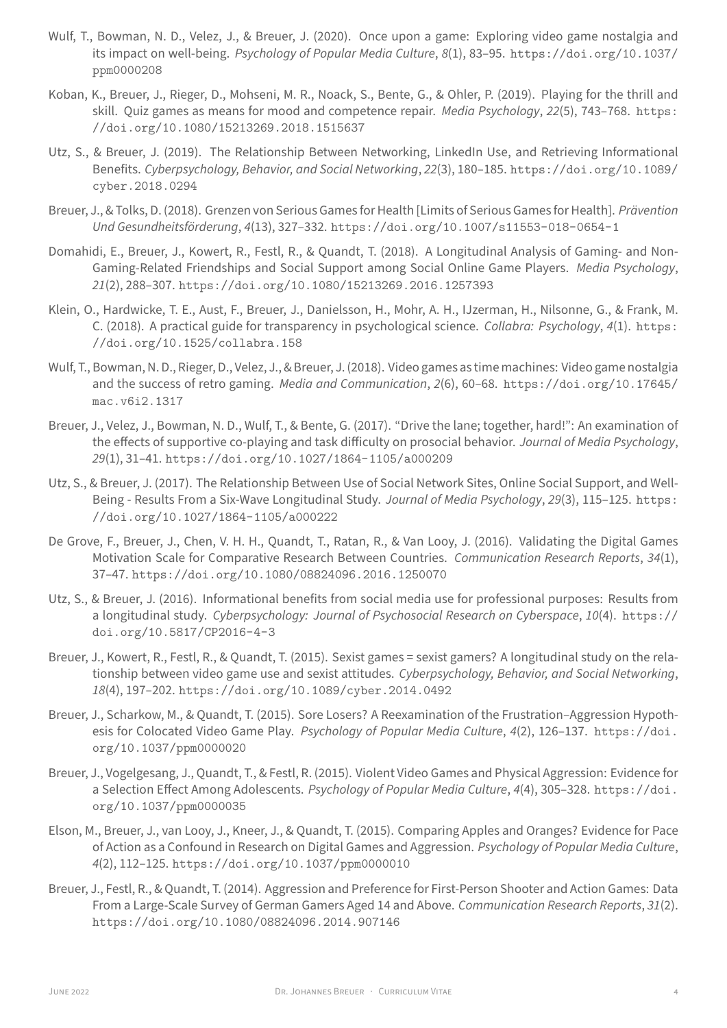ppm0000208

- Koban, K., Breuer, J., Rieger, D., Mohseni, M. R., Noack, S., Bente, G., & Ohler, P. (2019). Playing for the thrill and skill. Quiz games as means for mood and competence repair. *Media Psychology*, *22*[\(5\), 743–768.](https://doi.org/10.1037/ppm0000208) https: [//doi.org/1](https://doi.org/10.1037/ppm0000208)0.1080/15213269.2018.1515637
- Utz, S., & Breuer, J. (2019). The Relationship Between Networking, LinkedIn Use, and Retrieving Informational Benefits. *Cyberpsychology, Behavior, and Social Networking*, *22*(3), 180–185. https://doi.org/1[0.1089/](https://doi.org/10.1080/15213269.2018.1515637) [cyber.2018.0294](https://doi.org/10.1080/15213269.2018.1515637)
- Breuer, J., & Tolks, D. (2018). Grenzen von Serious Games for Health [Limits of Serious Games for Health]. *Prävention Und Gesundheitsförderung*, *4*(13), 327–332. https://doi.org/10.1007/s[11553-018-0654-1](https://doi.org/10.1089/cyber.2018.0294)
- Domahi[di, E., Breuer, J., Ko](https://doi.org/10.1089/cyber.2018.0294)wert, R., Festl, R., & Quandt, T. (2018). A Longitudinal Analysis of Gaming- and Non-Gaming‑Related Friendships and Social Support among Social Online Game Players. *Media Psychology*, *21*(2), 288–307. https://doi.org/10.10[80/15213269.2016.1257393](https://doi.org/10.1007/s11553-018-0654-1)
- Klein, O., Hardwicke, T. E., Aust, F., Breuer, J., Danielsson, H., Mohr, A. H., IJzerman, H., Nilsonne, G., & Frank, M. C. (2018). A practical guide for transparency in psychological science. *Collabra: Psychology*, *4*(1). https: //doi.org/10[.1525/collabra.158](https://doi.org/10.1080/15213269.2016.1257393)
- Wulf, T., Bowman, N. D., Rieger, D., Velez, J., & Breuer, J. (2018). Video games as time machines: Video game nostalgia and the success of retro gaming. *Media and Communication*, *2*(6), 60–68. https://doi.org/10[.17645/](https://doi.org/10.1525/collabra.158) [mac.v6i2.1317](https://doi.org/10.1525/collabra.158)
- Breuer, J., Velez, J., Bowman, N. D., Wulf, T., & Bente, G. (2017). "Drive the lane; together, hard!": An examination of the effects of supportive co‑playing and task difficulty on prosocial behavior. *[Journal of Media Psychology](https://doi.org/10.17645/mac.v6i2.1317)*, *29*[\(1\), 31–41.](https://doi.org/10.17645/mac.v6i2.1317) https://doi.org/10.1027/1864-1105/a000209
- Utz, S., & Breuer, J. (2017). The Relationship Between Use of Social Network Sites, Online Social Support, and Well-Being ‑ Results From a Six‑Wave Longitudinal Study. *Journal of Media Psychology*, *29*(3), 115–125. https: //doi.org/[10.1027/1864-1105/a000222](https://doi.org/10.1027/1864-1105/a000209)
- De Grove, F., Breuer, J., Chen, V. H. H., Quandt, T., Ratan, R., & Van Looy, J. (2016). Validating the Digital Games Motivation Scale for Comparative Research Between Countries. *Communication Research Reports*, *34*[\(1\),](https://doi.org/10.1027/1864-1105/a000222) 37–47. [https://doi.org/10.1080/088240](https://doi.org/10.1027/1864-1105/a000222)96.2016.1250070
- Utz, S., & Breuer, J. (2016). Informational benefits from social media use for professional purposes: Results from a longitudinal study. *Cyberpsychology: Journal of Psychosocial Research on Cyberspace*, *10*(4). https:// doi.o[rg/10.5817/CP2016-4-3](https://doi.org/10.1080/08824096.2016.1250070)
- Breuer, J., Kowert, R., Festl, R., & Quandt, T. (2015). Sexist games = sexist gamers? A longitudinal study on the relationship between video game use and sexist attitudes. *Cyberpsychology, Behavior, and Social N[etworking](https://doi.org/10.5817/CP2016-4-3)*, *18*(4), 197–202. [https://doi.or](https://doi.org/10.5817/CP2016-4-3)g/10.1089/cyber.2014.0492
- Breuer, J., Scharkow, M., & Quandt, T. (2015). Sore Losers? A Reexamination of the Frustration–Aggression Hypothesis for Colocated Video Game Play. *Psychology of Popular Media Culture*, *4*(2), 126–137. https://doi. org/10.1037/[ppm0000020](https://doi.org/10.1089/cyber.2014.0492)
- Breuer, J., Vogelgesang, J., Quandt, T., & Festl, R. (2015). Violent Video Games and Physical Aggression: Evidence for a Selection Effect Among Adolescents. *Psychology of Popular Media Culture*, *4*(4), 305–328. [https://doi.](https://doi.org/10.1037/ppm0000020) [org/10.1037/ppm0000035](https://doi.org/10.1037/ppm0000020)
- Elson, M., Breuer, J., van Looy, J., Kneer, J., & Quandt, T. (2015). Comparing Apples and Oranges? Evidence for Pace of Action as a Confound in Research on Digital Games and Aggression. *Psychology of Popula[r Media Culture](https://doi.org/10.1037/ppm0000035)*, *4*(2), 112–125. [https://doi](https://doi.org/10.1037/ppm0000035).org/10.1037/ppm0000010
- Breuer, J., Festl, R., & Quandt, T. (2014). Aggression and Preference for First-Person Shooter and Action Games: Data From a Large‑Scale Survey of German Gamers Aged 14 and Above. *Communication Research Reports*, *31*(2). https://doi[.org/10.1080/08824096.2014.907146](https://doi.org/10.1037/ppm0000010)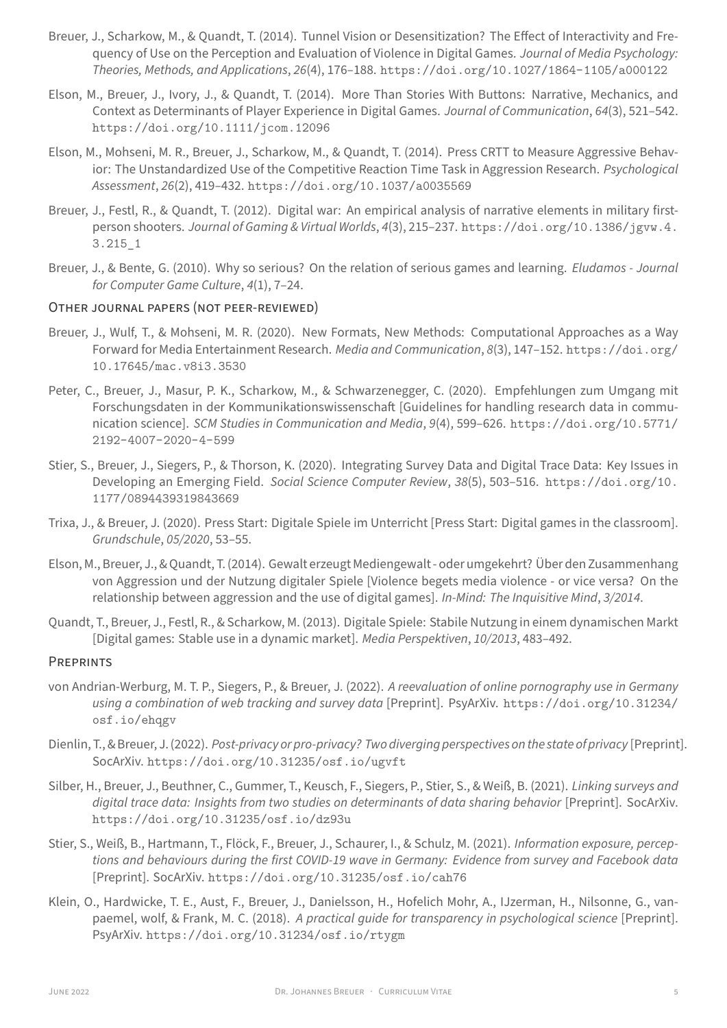*Theories, Methods, and Applications*, *26*(4), 176–188. https://doi.org/10.1027/1864-1105/a000122

- Elson, M., Breuer, J., Ivory, J., & Quandt, T. (2014). More Than Stories With Buttons: Narrative, Mechanics, and Context as Determinants of Player Experience in Digital Games. *Journal of Communication*, *64*(3), 521–542. https://doi.org/10.1111/jcom.12096
- Elson, M., Mohseni, M. R., Breuer, J., Scharkow, M., & Quandt, T. (2014). Press CRTT to Measure Aggressive Behavior: The Unstandardized Use of the Competitive Reaction Time Task in Aggression Research. *Psychological Assessment*, *26*(2), 419–432. [https://doi.](https://doi.org/10.1111/jcom.12096)org/10.1037/a0035569
- Breuer, J., Festl, R., & Quandt, T. (2012). Digital war: An empirical analysis of narrative elements in military firstperson shooters. *Journal of Gaming & Virtual Worlds*, *4*(3), 215–237. https://doi.org/10.1386/jgvw.4. 3.215\_1
- Breuer, J., & Bente, G. (2010). Why so serious? On the relation of serious games and learning. *Eludamos ‑ Journal for Computer Game Culture*, *4*(1), 7–24.

## OTHER [JOURNAL](https://doi.org/10.1386/jgvw.4.3.215_1) PAPERS (NOT PEER‑REViEWED)

- Breuer, J., Wulf, T., & Mohseni, M. R. (2020). New Formats, New Methods: Computational Approaches as a Way Forward for Media Entertainment Research. *Media and Communication*, *8*(3), 147–152. https://doi.org/ 10.17645/mac.v8i3.3530
- Peter, C., Breuer, J., Masur, P. K., Scharkow, M., & Schwarzenegger, C. (2020). Empfehlungen zum Umgang mit Forschungsdaten in der Kommunikationswissenschaft [Guidelines for handling research data in commu[nication science\].](https://doi.org/10.17645/mac.v8i3.3530) *SCM Studies in Communication and Media*, *9*(4), 599–626. https://doi.org/10.5771/ 2192-4007-2020-4-599
- Stier, S., Breuer, J., Siegers, P., & Thorson, K. (2020). Integrating Survey Data and Digital Trace Data: Key Issues in Developing an Emerging Field. *Social Science Computer Review*, *38*(5), 503–516. [https://doi.org/10.](https://doi.org/10.5771/2192-4007-2020-4-599) [1177/0894439319843669](https://doi.org/10.5771/2192-4007-2020-4-599)
- Trixa, J., & Breuer, J. (2020). Press Start: Digitale Spiele im Unterricht [Press Start: Digital games in the classroom]. *Grundschule*, *05/2020*, 53–55.
- Elson, [M., Breuer, J., & Quandt, T. \(20](https://doi.org/10.1177/0894439319843669)14). Gewalt erzeugt Mediengewalt ‑ oder umgekehrt? Über den Zusammenhang von Aggression und der Nutzung digitaler Spiele [Violence begets media violence ‑ or vice versa? On the relationship between aggression and the use of digital games]. *In‑Mind: The Inquisitive Mind*, *3/2014*.
- Quandt, T., Breuer, J., Festl, R., & Scharkow, M. (2013). Digitale Spiele: Stabile Nutzung in einem dynamischen Markt [Digital games: Stable use in a dynamic market]. *Media Perspektiven*, *10/2013*, 483–492.

## **PREPRINTS**

- von Andrian‑Werburg, M. T. P., Siegers, P., & Breuer, J. (2022). *A reevaluation of online pornography use in Germany using a combination of web tracking and survey data* [Preprint]. PsyArXiv. https://doi.org/10.31234/ osf.io/ehqgv
- Dienlin, T., & Breuer, J. (2022). *Post‑privacy or pro‑privacy? Two diverging perspectives on the state of privacy* [Preprint]. SocArXiv. https://doi.org/10.31235/osf.io/ugvft
- Silber, [H., Breuer, J., Beu](https://doi.org/10.31234/osf.io/ehqgv)thner, C., Gummer, T., Keusch, F., Siegers, P., Stier, S., & Weiß, B. (2021). *Linking surveys and digital trace data: Insights from two studies on determinants of data sharing behavior* [Preprint]. SocArXiv. https:/[/doi.org/10.31235/osf.io/dz93u](https://doi.org/10.31235/osf.io/ugvft)
- Stier, S., Weiß, B., Hartmann, T., Flöck, F., Breuer, J., Schaurer, I., & Schulz, M. (2021). *Information exposure, percep‑ tions and behaviours during the first COVID‑19 wave in Germany: Evidence from survey and Facebook data* [Preprint]. SocArXiv. [https://doi.org/10.31](https://doi.org/10.31235/osf.io/dz93u)235/osf.io/cah76
- Klein, O., Hardwicke, T. E., Aust, F., Breuer, J., Danielsson, H., Hofelich Mohr, A., IJzerman, H., Nilsonne, G., vanpaemel, wolf, & Frank, M. C. (2018). *A practical guide for transparency in psychological science* [Preprint]. PsyArXiv. https://[doi.org/10.31234/osf.io/rtygm](https://doi.org/10.31235/osf.io/cah76)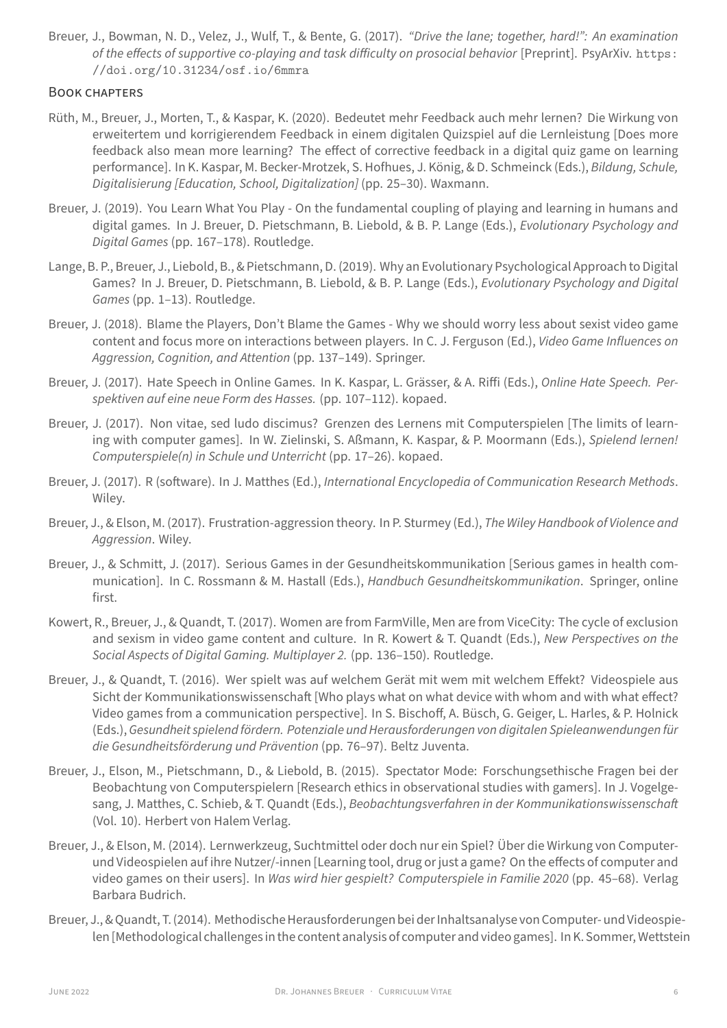## BOOK CHAPTERS

- Rüth, M., Breuer, J., Morten, T., & Kaspar, K. (2020). Bedeutet mehr Feedback auch mehr lernen? Die Wirk[ung von](https://doi.org/10.31234/osf.io/6mmra) [erweitertem und korrigierendem Feedb](https://doi.org/10.31234/osf.io/6mmra)ack in einem digitalen Quizspiel auf die Lernleistung [Does more feedback also mean more learning? The effect of corrective feedback in a digital quiz game on learning performance]. In K. Kaspar, M. Becker‑Mrotzek, S. Hofhues, J. König, & D. Schmeinck (Eds.), *Bildung, Schule, Digitalisierung [Education, School, Digitalization]* (pp. 25–30). Waxmann.
- Breuer, J. (2019). You Learn What You Play On the fundamental coupling of playing and learning in humans and digital games. In J. Breuer, D. Pietschmann, B. Liebold, & B. P. Lange (Eds.), *Evolutionary Psychology and Digital Games* (pp. 167–178). Routledge.
- Lange, B. P., Breuer, J., Liebold, B., & Pietschmann, D. (2019). Why an Evolutionary Psychological Approach to Digital Games? In J. Breuer, D. Pietschmann, B. Liebold, & B. P. Lange (Eds.), *Evolutionary Psychology and Digital Games* (pp. 1–13). Routledge.
- Breuer, J. (2018). Blame the Players, Don't Blame the Games ‑ Why we should worry less about sexist video game content and focus more on interactions between players. In C. J. Ferguson (Ed.), *Video Game Influences on Aggression, Cognition, and Attention* (pp. 137–149). Springer.
- Breuer, J. (2017). Hate Speech in Online Games. In K. Kaspar, L. Grässer, & A. Riffi (Eds.), *Online Hate Speech. Per‑ spektiven auf eine neue Form des Hasses.* (pp. 107–112). kopaed.
- Breuer, J. (2017). Non vitae, sed ludo discimus? Grenzen des Lernens mit Computerspielen [The limits of learning with computer games]. In W. Zielinski, S. Aßmann, K. Kaspar, & P. Moormann (Eds.), *Spielend lernen! Computerspiele(n) in Schule und Unterricht* (pp. 17–26). kopaed.
- Breuer, J. (2017). R (software). In J. Matthes (Ed.), *International Encyclopedia of Communication Research Methods*. Wiley.
- Breuer, J., & Elson, M. (2017). Frustration‑aggression theory. In P. Sturmey (Ed.), *The Wiley Handbook of Violence and Aggression*. Wiley.
- Breuer, J., & Schmitt, J. (2017). Serious Games in der Gesundheitskommunikation [Serious games in health communication]. In C. Rossmann & M. Hastall (Eds.), *Handbuch Gesundheitskommunikation*. Springer, online first.
- Kowert, R., Breuer, J., & Quandt, T. (2017). Women are from FarmVille, Men are from ViceCity: The cycle of exclusion and sexism in video game content and culture. In R. Kowert & T. Quandt (Eds.), *New Perspectives on the Social Aspects of Digital Gaming. Multiplayer 2.* (pp. 136–150). Routledge.
- Breuer, J., & Quandt, T. (2016). Wer spielt was auf welchem Gerät mit wem mit welchem Effekt? Videospiele aus Sicht der Kommunikationswissenschaft [Who plays what on what device with whom and with what effect? Video games from a communication perspective]. In S. Bischoff, A. Büsch, G. Geiger, L. Harles, & P. Holnick (Eds.), *Gesundheit spielend fördern. Potenziale und Herausforderungen von digitalen Spieleanwendungen für die Gesundheitsförderung und Prävention* (pp. 76–97). Beltz Juventa.
- Breuer, J., Elson, M., Pietschmann, D., & Liebold, B. (2015). Spectator Mode: Forschungsethische Fragen bei der Beobachtung von Computerspielern [Research ethics in observational studies with gamers]. In J. Vogelgesang, J. Matthes, C. Schieb, & T. Quandt (Eds.), *Beobachtungsverfahren in der Kommunikationswissenschaft* (Vol. 10). Herbert von Halem Verlag.
- Breuer, J., & Elson, M. (2014). Lernwerkzeug, Suchtmittel oder doch nur ein Spiel? Über die Wirkung von Computerund Videospielen auf ihre Nutzer/‑innen [Learning tool, drug or just a game? On the effects of computer and video games on their users]. In *Was wird hier gespielt? Computerspiele in Familie 2020* (pp. 45–68). Verlag Barbara Budrich.
- Breuer, J., & Quandt, T. (2014). Methodische Herausforderungen bei der Inhaltsanalyse von Computer- und Videospielen [Methodological challenges in the content analysis of computer and video games]. In K. Sommer, Wettstein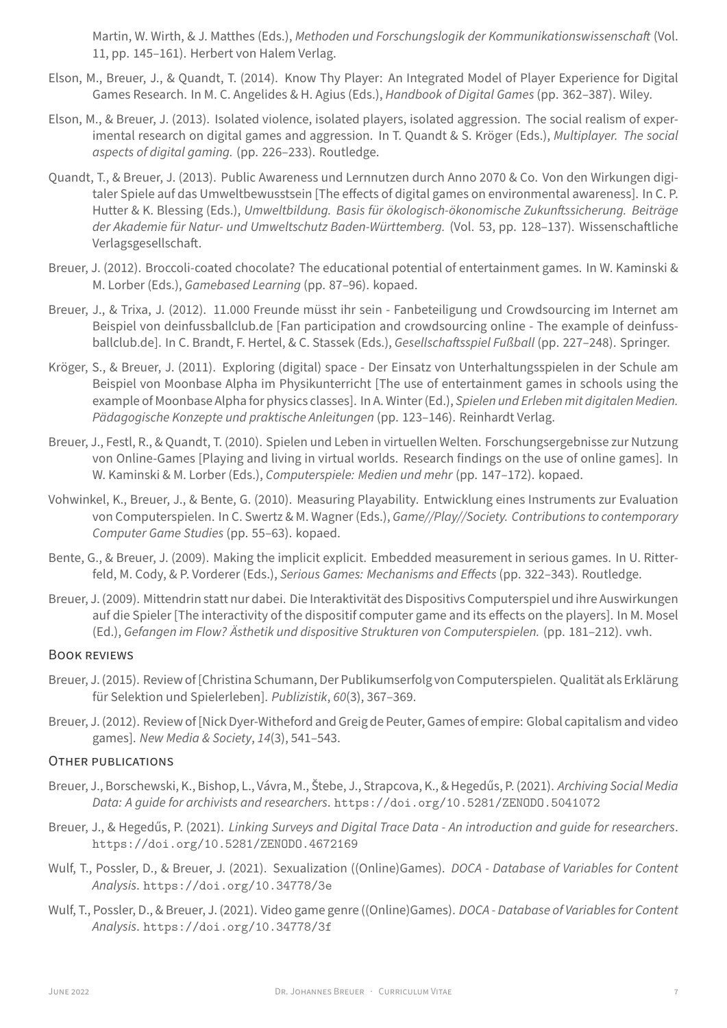- Elson, M., Breuer, J., & Quandt, T. (2014). Know Thy Player: An Integrated Model of Player Experience for Digital Games Research. In M. C. Angelides & H. Agius (Eds.), *Handbook of Digital Games* (pp. 362–387). Wiley.
- Elson, M., & Breuer, J. (2013). Isolated violence, isolated players, isolated aggression. The social realism of exper‑ imental research on digital games and aggression. In T. Quandt & S. Kröger (Eds.), *Multiplayer. The social aspects of digital gaming.* (pp. 226–233). Routledge.
- Quandt, T., & Breuer, J. (2013). Public Awareness und Lernnutzen durch Anno 2070 & Co. Von den Wirkungen digitaler Spiele auf das Umweltbewusstsein [The effects of digital games on environmental awareness]. In C. P. Hutter & K. Blessing (Eds.), *Umweltbildung. Basis für ökologisch‑ökonomische Zukunftssicherung. Beiträge der Akademie für Natur‑ und Umweltschutz Baden‑Württemberg.* (Vol. 53, pp. 128–137). Wissenschaftliche Verlagsgesellschaft.
- Breuer, J. (2012). Broccoli-coated chocolate? The educational potential of entertainment games. In W. Kaminski & M. Lorber (Eds.), *Gamebased Learning* (pp. 87–96). kopaed.
- Breuer, J., & Trixa, J. (2012). 11.000 Freunde müsst ihr sein ‑ Fanbeteiligung und Crowdsourcing im Internet am Beispiel von deinfussballclub.de [Fan participation and crowdsourcing online - The example of deinfussballclub.de]. In C. Brandt, F. Hertel, & C. Stassek (Eds.), *Gesellschaftsspiel Fußball* (pp. 227–248). Springer.
- Kröger, S., & Breuer, J. (2011). Exploring (digital) space ‑ Der Einsatz von Unterhaltungsspielen in der Schule am Beispiel von Moonbase Alpha im Physikunterricht [The use of entertainment games in schools using the example of Moonbase Alpha for physics classes]. In A. Winter (Ed.), *Spielen und Erleben mit digitalen Medien. Pädagogische Konzepte und praktische Anleitungen* (pp. 123–146). Reinhardt Verlag.
- Breuer, J., Festl, R., & Quandt, T. (2010). Spielen und Leben in virtuellen Welten. Forschungsergebnisse zur Nutzung von Online‑Games [Playing and living in virtual worlds. Research findings on the use of online games]. In W. Kaminski & M. Lorber (Eds.), *Computerspiele: Medien und mehr* (pp. 147–172). kopaed.
- Vohwinkel, K., Breuer, J., & Bente, G. (2010). Measuring Playability. Entwicklung eines Instruments zur Evaluation von Computerspielen. In C. Swertz & M. Wagner (Eds.), *Game//Play//Society. Contributions to contemporary Computer Game Studies* (pp. 55–63). kopaed.
- Bente, G., & Breuer, J. (2009). Making the implicit explicit. Embedded measurement in serious games. In U. Ritterfeld, M. Cody, & P. Vorderer (Eds.), *Serious Games: Mechanisms and Effects* (pp. 322–343). Routledge.
- Breuer, J. (2009). Mittendrin statt nur dabei. Die Interaktivität des Dispositivs Computerspiel und ihre Auswirkungen auf die Spieler [The interactivity of the dispositif computer game and its effects on the players]. In M. Mosel (Ed.), *Gefangen im Flow? Ästhetik und dispositive Strukturen von Computerspielen.* (pp. 181–212). vwh.

## BOOK REViEWS

- Breuer, J. (2015). Review of [Christina Schumann, Der Publikumserfolg von Computerspielen. Qualität als Erklärung für Selektion und Spielerleben]. *Publizistik*, *60*(3), 367–369.
- Breuer, J. (2012). Review of [Nick Dyer‑Witheford and Greig de Peuter, Games of empire: Global capitalism and video games]. *New Media & Society*, *14*(3), 541–543.

## OTHER PUBLiCATiONS

- Breuer, J., Borschewski, K., Bishop, L., Vávra, M., Štebe, J., Strapcova, K., & Hegedűs, P. (2021). *Archiving Social Media Data: A guide for archivists and researchers*. https://doi.org/10.5281/ZENODO.5041072
- Breuer, J., & Hegedűs, P. (2021). *Linking Surveys and Digital Trace Data ‑ An introduction and guide for researchers*. https://doi.org/10.5281/ZENODO.4672169
- Wulf, T., Possler, D., & Breuer, J. (2021). Sexualization ((Online)Games). *[DOCA ‑ Database of Variabl](https://doi.org/10.5281/ZENODO.5041072)es for Content Analysis*. https://doi.org/10.34778/3e
- Wulf, T., [Possler, D., & Breuer, J. \(2021\). Video game genre](https://doi.org/10.5281/ZENODO.4672169) ((Online)Games). *DOCA ‑ Database of Variables for Content Analysis*. https://doi.org/10.34778/3f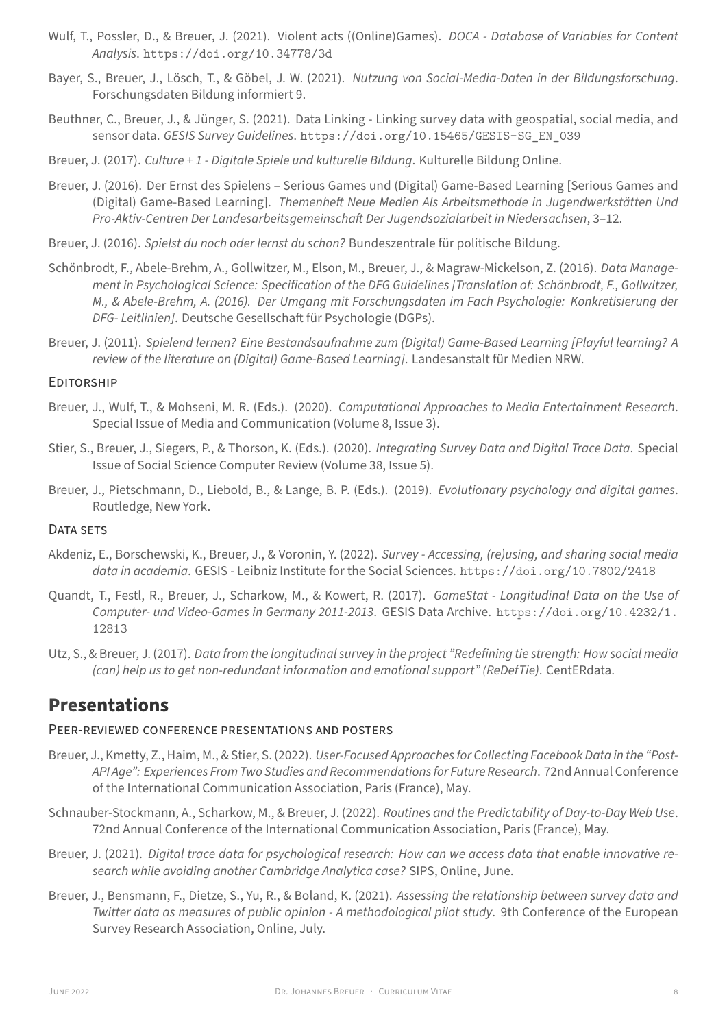- Bayer, S., Breuer, J., Lösch, T., & Göbel, J. W. (2021). *Nutzung von Social‑Media‑Daten in der Bildungsforschung*. Forschungsdaten Bildung informiert 9.
- Beuthner, C., Bre[uer, J., & Jünger, S. \(2021\). Data Li](https://doi.org/10.34778/3d)nking Linking survey data with geospatial, social media, and sensor data. *GESIS Survey Guidelines*. https://doi.org/10.15465/GESIS-SG\_EN\_039
- Breuer, J. (2017). *Culture + 1 ‑ Digitale Spiele und kulturelle Bildung*. Kulturelle Bildung Online.
- Breuer, J. (2016). Der Ernst des Spielens Serious Games und (Digital) Game‑Based Learning [Serious Games and (Digital) Game‑Based Learning]. *The[menheft Neue Medien Als Arbeitsmethode in Jugend](https://doi.org/10.15465/GESIS-SG_EN_039)werkstätten Und Pro‑Aktiv‑Centren Der Landesarbeitsgemeinschaft Der Jugendsozialarbeit in Niedersachsen*, 3–12.
- Breuer, J. (2016). *Spielst du noch oder lernst du schon?* Bundeszentrale für politische Bildung.
- Schönbrodt, F., Abele‑Brehm, A., Gollwitzer, M., Elson, M., Breuer, J., & Magraw‑Mickelson, Z. (2016). *Data Manage‑ ment in Psychological Science: Specification of the DFG Guidelines [Translation of: Schönbrodt, F., Gollwitzer, M., & Abele‑Brehm, A. (2016). Der Umgang mit Forschungsdaten im Fach Psychologie: Konkretisierung der DFG‑ Leitlinien]*. Deutsche Gesellschaft für Psychologie (DGPs).
- Breuer, J. (2011). *Spielend lernen? Eine Bestandsaufnahme zum (Digital) Game‑Based Learning [Playful learning? A review of the literature on (Digital) Game‑Based Learning]*. Landesanstalt für Medien NRW.

## EDiTORSHiP

- Breuer, J., Wulf, T., & Mohseni, M. R. (Eds.). (2020). *Computational Approaches to Media Entertainment Research*. Special Issue of Media and Communication (Volume 8, Issue 3).
- Stier, S., Breuer, J., Siegers, P., & Thorson, K. (Eds.). (2020). *Integrating Survey Data and Digital Trace Data*. Special Issue of Social Science Computer Review (Volume 38, Issue 5).
- Breuer, J., Pietschmann, D., Liebold, B., & Lange, B. P. (Eds.). (2019). *Evolutionary psychology and digital games*. Routledge, New York.

### DATA SETS

- Akdeniz, E., Borschewski, K., Breuer, J., & Voronin, Y. (2022). *Survey ‑ Accessing, (re)using, and sharing social media data in academia*. GESIS ‑ Leibniz Institute for the Social Sciences. https://doi.org/10.7802/2418
- Quandt, T., Festl, R., Breuer, J., Scharkow, M., & Kowert, R. (2017). *GameStat ‑ Longitudinal Data on the Use of Computer‑ und Video‑Games in Germany 2011‑2013*. GESIS Data Archive. https://doi.org/10.4232/1. 12813
- Utz, S., & Breuer, J. (2017). *Data from the longitudinal survey in the project "Redefining tie strength: How social media (can) help us to get non‑redundant information and emotional support" (ReDefTie)*[. CentERdata.](https://doi.org/10.4232/1.12813)

# **Pres[entat](https://doi.org/10.4232/1.12813)ions**

#### PEER‑REViEWED CONFERENCE PRESENTATiONS AND POSTERS

- Breuer, J., Kmetty, Z., Haim, M., & Stier, S. (2022). *User‑Focused Approaches for Collecting Facebook Data in the "Post‑ API Age": Experiences From Two Studies and Recommendations for Future Research*. 72nd Annual Conference of the International Communication Association, Paris (France), May.
- Schnauber‑Stockmann, A., Scharkow, M., & Breuer, J. (2022). *Routines and the Predictability of Day‑to‑Day Web Use*. 72nd Annual Conference of the International Communication Association, Paris (France), May.
- Breuer, J. (2021). *Digital trace data for psychological research: How can we access data that enable innovative re‑ search while avoiding another Cambridge Analytica case?* SIPS, Online, June.
- Breuer, J., Bensmann, F., Dietze, S., Yu, R., & Boland, K. (2021). *Assessing the relationship between survey data and Twitter data as measures of public opinion ‑ A methodological pilot study*. 9th Conference of the European Survey Research Association, Online, July.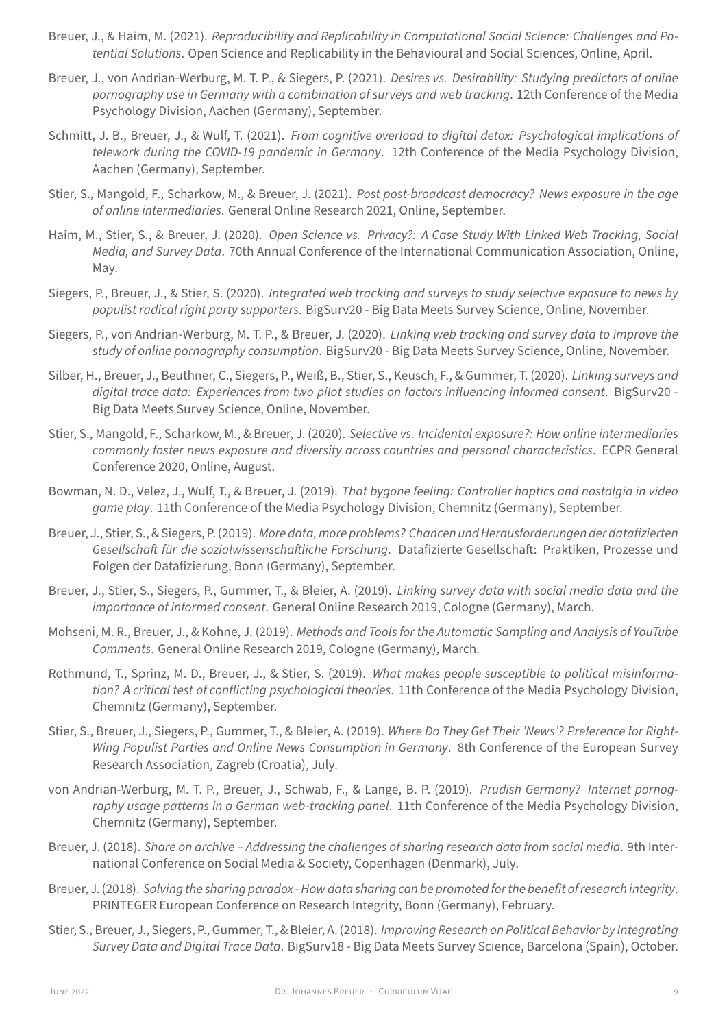- Breuer, J., & Haim, M. (2021). *Reproducibility and Replicability in Computational Social Science: Challenges and Po‑ tential Solutions*. Open Science and Replicability in the Behavioural and Social Sciences, Online, April.
- Breuer, J., von Andrian‑Werburg, M. T. P., & Siegers, P. (2021). *Desires vs. Desirability: Studying predictors of online pornography use in Germany with a combination of surveys and web tracking*. 12th Conference of the Media Psychology Division, Aachen (Germany), September.
- Schmitt, J. B., Breuer, J., & Wulf, T. (2021). *From cognitive overload to digital detox: Psychological implications of telework during the COVID‑19 pandemic in Germany*. 12th Conference of the Media Psychology Division, Aachen (Germany), September.
- Stier, S., Mangold, F., Scharkow, M., & Breuer, J. (2021). *Post post‑broadcast democracy? News exposure in the age of online intermediaries*. General Online Research 2021, Online, September.
- Haim, M., Stier, S., & Breuer, J. (2020). *Open Science vs. Privacy?: A Case Study With Linked Web Tracking, Social Media, and Survey Data*. 70th Annual Conference of the International Communication Association, Online, May.
- Siegers, P., Breuer, J., & Stier, S. (2020). *Integrated web tracking and surveys to study selective exposure to news by populist radical right party supporters*. BigSurv20 ‑ Big Data Meets Survey Science, Online, November.
- Siegers, P., von Andrian‑Werburg, M. T. P., & Breuer, J. (2020). *Linking web tracking and survey data to improve the study of online pornography consumption*. BigSurv20 ‑ Big Data Meets Survey Science, Online, November.
- Silber, H., Breuer, J., Beuthner, C., Siegers, P., Weiß, B., Stier, S., Keusch, F., & Gummer, T. (2020). *Linking surveys and digital trace data: Experiences from two pilot studies on factors influencing informed consent*. BigSurv20 ‑ Big Data Meets Survey Science, Online, November.
- Stier, S., Mangold, F., Scharkow, M., & Breuer, J. (2020). *Selective vs. Incidental exposure?: How online intermediaries commonly foster news exposure and diversity across countries and personal characteristics*. ECPR General Conference 2020, Online, August.
- Bowman, N. D., Velez, J., Wulf, T., & Breuer, J. (2019). *That bygone feeling: Controller haptics and nostalgia in video game play*. 11th Conference of the Media Psychology Division, Chemnitz (Germany), September.
- Breuer, J., Stier, S., & Siegers, P. (2019). *More data, more problems? Chancen und Herausforderungen der datafizierten Gesellschaft für die sozialwissenschaftliche Forschung*. Datafizierte Gesellschaft: Praktiken, Prozesse und Folgen der Datafizierung, Bonn (Germany), September.
- Breuer, J., Stier, S., Siegers, P., Gummer, T., & Bleier, A. (2019). *Linking survey data with social media data and the importance of informed consent*. General Online Research 2019, Cologne (Germany), March.
- Mohseni, M. R., Breuer, J., & Kohne, J. (2019). *Methods and Tools for the Automatic Sampling and Analysis of YouTube Comments*. General Online Research 2019, Cologne (Germany), March.
- Rothmund, T., Sprinz, M. D., Breuer, J., & Stier, S. (2019). *What makes people susceptible to political misinforma‑ tion? A critical test of conflicting psychological theories*. 11th Conference of the Media Psychology Division, Chemnitz (Germany), September.
- Stier, S., Breuer, J., Siegers, P., Gummer, T., & Bleier, A. (2019). *Where Do They Get Their 'News'? Preference for Right‑ Wing Populist Parties and Online News Consumption in Germany*. 8th Conference of the European Survey Research Association, Zagreb (Croatia), July.
- von Andrian‑Werburg, M. T. P., Breuer, J., Schwab, F., & Lange, B. P. (2019). *Prudish Germany? Internet pornog‑* raphy usage patterns in a German web-tracking panel. 11th Conference of the Media Psychology Division, Chemnitz (Germany), September.
- Breuer, J. (2018). *Share on archive Addressing the challenges of sharing research data from social media*. 9th International Conference on Social Media & Society, Copenhagen (Denmark), July.
- Breuer, J. (2018). *Solving the sharing paradox‑ How data sharing can be promoted for the benefit of research integrity*. PRINTEGER European Conference on Research Integrity, Bonn (Germany), February.
- Stier, S., Breuer, J., Siegers, P., Gummer, T., & Bleier, A. (2018). *Improving Research on Political Behavior by Integrating Survey Data and Digital Trace Data*. BigSurv18 ‑ Big Data Meets Survey Science, Barcelona (Spain), October.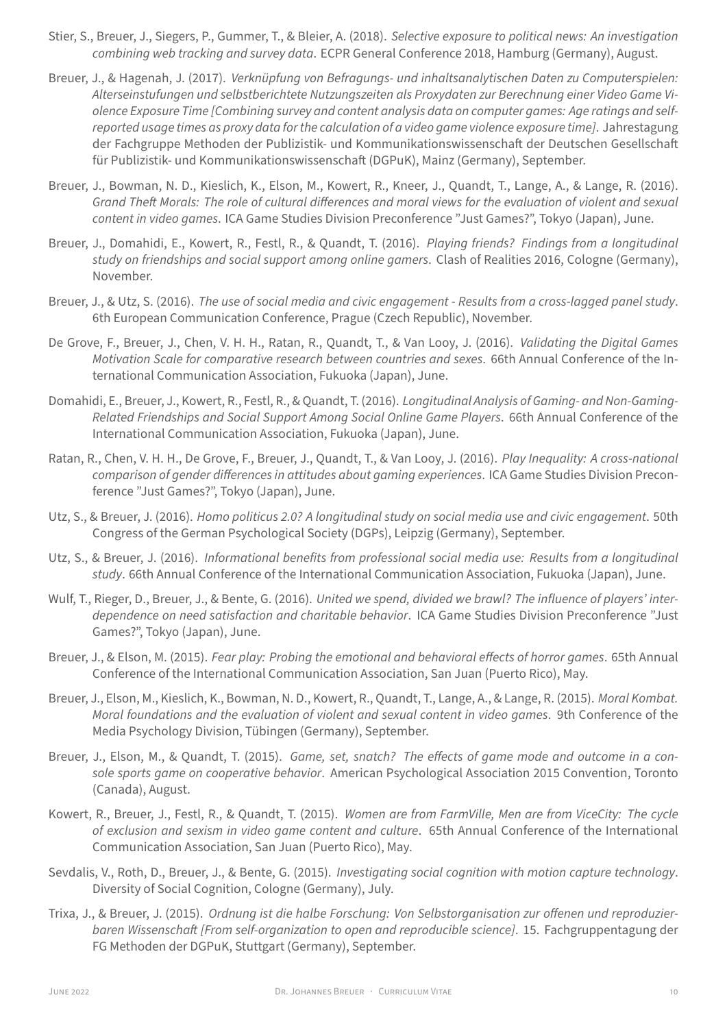- Stier, S., Breuer, J., Siegers, P., Gummer, T., & Bleier, A. (2018). *Selective exposure to political news: An investigation combining web tracking and survey data*. ECPR General Conference 2018, Hamburg (Germany), August.
- Breuer, J., & Hagenah, J. (2017). *Verknüpfung von Befragungs‑ und inhaltsanalytischen Daten zu Computerspielen: Alterseinstufungen und selbstberichtete Nutzungszeiten als Proxydaten zur Berechnung einer Video Game Vi‑ olence Exposure Time [Combining survey and content analysis data on computer games: Age ratings and self‑ reported usage times as proxy data for the calculation of a video game violence exposure time]*. Jahrestagung der Fachgruppe Methoden der Publizistik‑ und Kommunikationswissenschaft der Deutschen Gesellschaft für Publizistik‑ und Kommunikationswissenschaft (DGPuK), Mainz (Germany), September.
- Breuer, J., Bowman, N. D., Kieslich, K., Elson, M., Kowert, R., Kneer, J., Quandt, T., Lange, A., & Lange, R. (2016). *Grand Theft Morals: The role of cultural differences and moral views for the evaluation of violent and sexual content in video games*. ICA Game Studies Division Preconference "Just Games?", Tokyo (Japan), June.
- Breuer, J., Domahidi, E., Kowert, R., Festl, R., & Quandt, T. (2016). *Playing friends? Findings from a longitudinal study on friendships and social support among online gamers*. Clash of Realities 2016, Cologne (Germany), November.
- Breuer, J., & Utz, S. (2016). *The use of social media and civic engagement ‑ Results from a cross‑lagged panel study*. 6th European Communication Conference, Prague (Czech Republic), November.
- De Grove, F., Breuer, J., Chen, V. H. H., Ratan, R., Quandt, T., & Van Looy, J. (2016). *Validating the Digital Games Motivation Scale for comparative research between countries and sexes*. 66th Annual Conference of the In‑ ternational Communication Association, Fukuoka (Japan), June.
- Domahidi, E., Breuer, J., Kowert, R., Festl, R., & Quandt, T. (2016). *Longitudinal Analysis of Gaming‑ and Non‑Gaming‑ Related Friendships and Social Support Among Social Online Game Players*. 66th Annual Conference of the International Communication Association, Fukuoka (Japan), June.
- Ratan, R., Chen, V. H. H., De Grove, F., Breuer, J., Quandt, T., & Van Looy, J. (2016). *Play Inequality: A cross‑national comparison of gender differences in attitudes about gaming experiences*. ICA Game Studies Division Precon‑ ference "Just Games?", Tokyo (Japan), June.
- Utz, S., & Breuer, J. (2016). *Homo politicus 2.0? A longitudinal study on social media use and civic engagement*. 50th Congress of the German Psychological Society (DGPs), Leipzig (Germany), September.
- Utz, S., & Breuer, J. (2016). *Informational benefits from professional social media use: Results from a longitudinal study*. 66th Annual Conference of the International Communication Association, Fukuoka (Japan), June.
- Wulf, T., Rieger, D., Breuer, J., & Bente, G. (2016). *United we spend, divided we brawl? The influence of players' inter‑ dependence on need satisfaction and charitable behavior*. ICA Game Studies Division Preconference "Just Games?", Tokyo (Japan), June.
- Breuer, J., & Elson, M. (2015). *Fear play: Probing the emotional and behavioral effects of horror games*. 65th Annual Conference of the International Communication Association, San Juan (Puerto Rico), May.
- Breuer, J., Elson, M., Kieslich, K., Bowman, N. D., Kowert, R., Quandt, T., Lange, A., & Lange, R. (2015). *Moral Kombat. Moral foundations and the evaluation of violent and sexual content in video games*. 9th Conference of the Media Psychology Division, Tübingen (Germany), September.
- Breuer, J., Elson, M., & Quandt, T. (2015). *Game, set, snatch? The effects of game mode and outcome in a con‑ sole sports game on cooperative behavior*. American Psychological Association 2015 Convention, Toronto (Canada), August.
- Kowert, R., Breuer, J., Festl, R., & Quandt, T. (2015). *Women are from FarmVille, Men are from ViceCity: The cycle of exclusion and sexism in video game content and culture*. 65th Annual Conference of the International Communication Association, San Juan (Puerto Rico), May.
- Sevdalis, V., Roth, D., Breuer, J., & Bente, G. (2015). *Investigating social cognition with motion capture technology*. Diversity of Social Cognition, Cologne (Germany), July.
- Trixa, J., & Breuer, J. (2015). *Ordnung ist die halbe Forschung: Von Selbstorganisation zur offenen und reproduzier‑ baren Wissenschaft [From self‑organization to open and reproducible science]*. 15. Fachgruppentagung der FG Methoden der DGPuK, Stuttgart (Germany), September.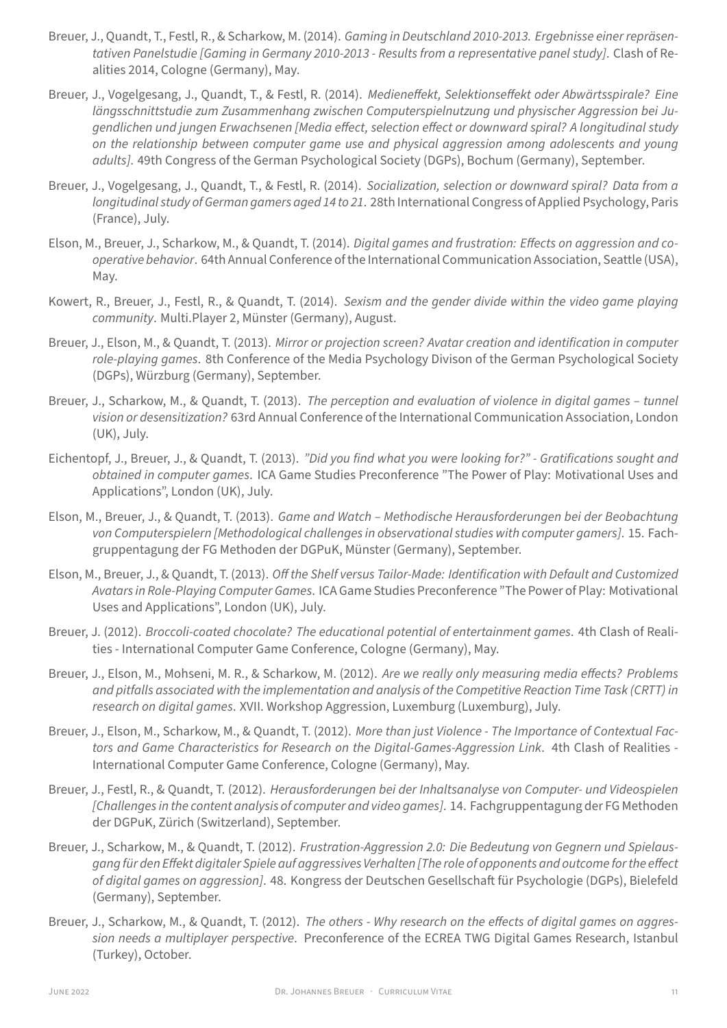- Breuer, J., Quandt, T., Festl, R., & Scharkow, M. (2014). *Gaming in Deutschland 2010‑2013. Ergebnisse einer repräsen‑ tativen Panelstudie [Gaming in Germany 2010‑2013 ‑ Results from a representative panel study]*. Clash of Re‑ alities 2014, Cologne (Germany), May.
- Breuer, J., Vogelgesang, J., Quandt, T., & Festl, R. (2014). *Medieneffekt, Selektionseffekt oder Abwärtsspirale? Eine längsschnittstudie zum Zusammenhang zwischen Computerspielnutzung und physischer Aggression bei Ju‑ gendlichen und jungen Erwachsenen [Media effect, selection effect or downward spiral? A longitudinal study on the relationship between computer game use and physical aggression among adolescents and young adults]*. 49th Congress of the German Psychological Society (DGPs), Bochum (Germany), September.
- Breuer, J., Vogelgesang, J., Quandt, T., & Festl, R. (2014). *Socialization, selection or downward spiral? Data from a longitudinal study of German gamers aged 14 to 21*. 28th International Congress of Applied Psychology, Paris (France), July.
- Elson, M., Breuer, J., Scharkow, M., & Quandt, T. (2014). *Digital games and frustration: Effects on aggression and co‑ operative behavior*. 64th Annual Conference of the International Communication Association, Seattle (USA), May.
- Kowert, R., Breuer, J., Festl, R., & Quandt, T. (2014). *Sexism and the gender divide within the video game playing community*. Multi.Player 2, Münster (Germany), August.
- Breuer, J., Elson, M., & Quandt, T. (2013). *Mirror or projection screen? Avatar creation and identification in computer role‑playing games*. 8th Conference of the Media Psychology Divison of the German Psychological Society (DGPs), Würzburg (Germany), September.
- Breuer, J., Scharkow, M., & Quandt, T. (2013). *The perception and evaluation of violence in digital games tunnel vision or desensitization?* 63rd Annual Conference of the International Communication Association, London (UK), July.
- Eichentopf, J., Breuer, J., & Quandt, T. (2013). *"Did you find what you were looking for?" ‑ Gratifications sought and obtained in computer games*. ICA Game Studies Preconference "The Power of Play: Motivational Uses and Applications", London (UK), July.
- Elson, M., Breuer, J., & Quandt, T. (2013). *Game and Watch Methodische Herausforderungen bei der Beobachtung von Computerspielern [Methodological challenges in observational studies with computer gamers]*. 15. Fach‑ gruppentagung der FG Methoden der DGPuK, Münster (Germany), September.
- Elson, M., Breuer, J., & Quandt, T. (2013). *Off the Shelf versus Tailor‑Made: Identification with Default and Customized Avatars in Role‑Playing Computer Games*. ICA Game Studies Preconference "The Power of Play: Motivational Uses and Applications", London (UK), July.
- Breuer, J. (2012). *Broccoli‑coated chocolate? The educational potential of entertainment games*. 4th Clash of Reali‑ ties ‑ International Computer Game Conference, Cologne (Germany), May.
- Breuer, J., Elson, M., Mohseni, M. R., & Scharkow, M. (2012). *Are we really only measuring media effects? Problems and pitfalls associated with the implementation and analysis of the Competitive Reaction Time Task (CRTT) in research on digital games*. XVII. Workshop Aggression, Luxemburg (Luxemburg), July.
- Breuer, J., Elson, M., Scharkow, M., & Quandt, T. (2012). *More than just Violence ‑ The Importance of Contextual Fac‑ tors and Game Characteristics for Research on the Digital‑Games‑Aggression Link*. 4th Clash of Realities ‑ International Computer Game Conference, Cologne (Germany), May.
- Breuer, J., Festl, R., & Quandt, T. (2012). *Herausforderungen bei der Inhaltsanalyse von Computer‑ und Videospielen [Challenges in the content analysis of computer and video games]*. 14. Fachgruppentagung der FG Methoden der DGPuK, Zürich (Switzerland), September.
- Breuer, J., Scharkow, M., & Quandt, T. (2012). *Frustration‑Aggression 2.0: Die Bedeutung von Gegnern und Spielaus‑ gang für den Effekt digitaler Spiele auf aggressives Verhalten[The role of opponents and outcome for the effect of digital games on aggression]*. 48. Kongress der Deutschen Gesellschaft für Psychologie (DGPs), Bielefeld (Germany), September.
- Breuer, J., Scharkow, M., & Quandt, T. (2012). *The others ‑ Why research on the effects of digital games on aggres‑ sion needs a multiplayer perspective*. Preconference of the ECREA TWG Digital Games Research, Istanbul (Turkey), October.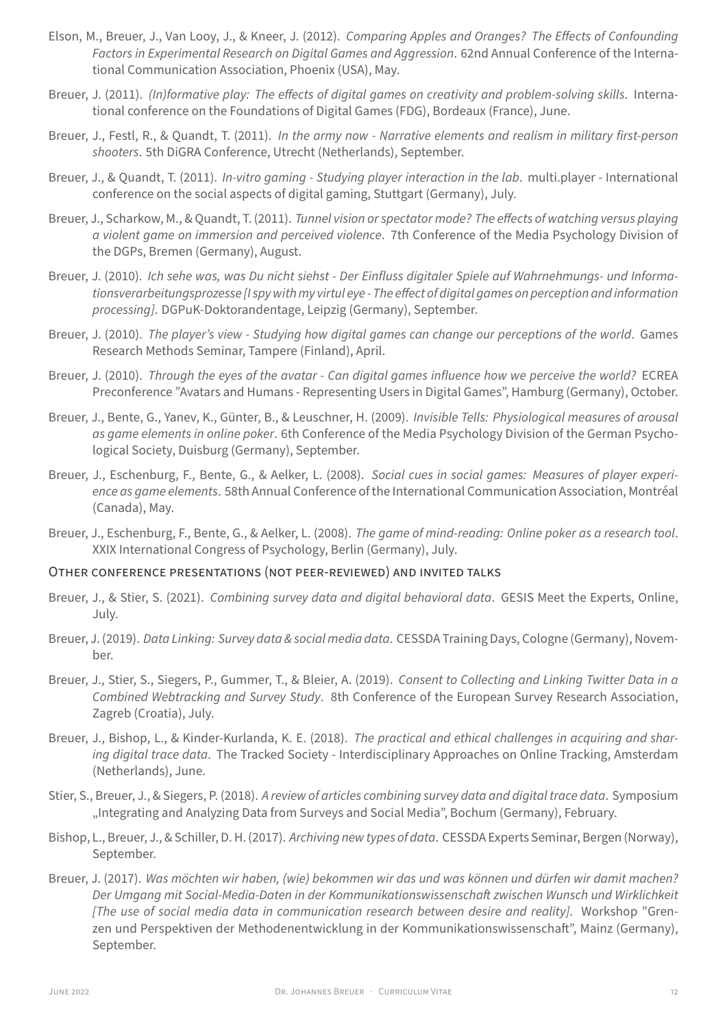- Elson, M., Breuer, J., Van Looy, J., & Kneer, J. (2012). *Comparing Apples and Oranges? The Effects of Confounding Factors in Experimental Research on Digital Games and Aggression*. 62nd Annual Conference of the Interna‑ tional Communication Association, Phoenix (USA), May.
- Breuer, J. (2011). *(In)formative play: The effects of digital games on creativity and problem-solving skills*. International conference on the Foundations of Digital Games (FDG), Bordeaux (France), June.
- Breuer, J., Festl, R., & Quandt, T. (2011). *In the army now ‑ Narrative elements and realism in military first‑person shooters*. 5th DiGRA Conference, Utrecht (Netherlands), September.
- Breuer, J., & Quandt, T. (2011). *In‑vitro gaming ‑ Studying player interaction in the lab*. multi.player ‑ International conference on the social aspects of digital gaming, Stuttgart (Germany), July.
- Breuer, J., Scharkow, M., & Quandt, T. (2011). *Tunnel vision or spectator mode? The effects of watching versus playing a violent game on immersion and perceived violence*. 7th Conference of the Media Psychology Division of the DGPs, Bremen (Germany), August.
- Breuer, J. (2010). *Ich sehe was, was Du nicht siehst ‑ Der Einfluss digitaler Spiele auf Wahrnehmungs‑ und Informa‑ tionsverarbeitungsprozesse[I spy with my virtul eye‑ The effect of digital games on perception and information processing]*. DGPuK‑Doktorandentage, Leipzig (Germany), September.
- Breuer, J. (2010). *The player's view ‑ Studying how digital games can change our perceptions of the world*. Games Research Methods Seminar, Tampere (Finland), April.
- Breuer, J. (2010). *Through the eyes of the avatar ‑ Can digital games influence how we perceive the world?* ECREA Preconference "Avatars and Humans ‑ Representing Users in Digital Games", Hamburg (Germany), October.
- Breuer, J., Bente, G., Yanev, K., Günter, B., & Leuschner, H. (2009). *Invisible Tells: Physiological measures of arousal* as game elements in online poker. 6th Conference of the Media Psychology Division of the German Psychological Society, Duisburg (Germany), September.
- Breuer, J., Eschenburg, F., Bente, G., & Aelker, L. (2008). *Social cues in social games: Measures of player experi‑ ence as game elements*. 58th Annual Conference of the International Communication Association, Montréal (Canada), May.
- Breuer, J., Eschenburg, F., Bente, G., & Aelker, L. (2008). *The game of mind‑reading: Online poker as a research tool*. XXIX International Congress of Psychology, Berlin (Germany), July.

## OTHER CONFERENCE PRESENTATiONS (NOT PEER‑REViEWED) AND iNViTED TALKS

- Breuer, J., & Stier, S. (2021). *Combining survey data and digital behavioral data*. GESIS Meet the Experts, Online, July.
- Breuer, J. (2019). *Data Linking: Survey data & social media data*. CESSDA Training Days, Cologne (Germany), Novem‑ ber.
- Breuer, J., Stier, S., Siegers, P., Gummer, T., & Bleier, A. (2019). *Consent to Collecting and Linking Twitter Data in a Combined Webtracking and Survey Study*. 8th Conference of the European Survey Research Association, Zagreb (Croatia), July.
- Breuer, J., Bishop, L., & Kinder‑Kurlanda, K. E. (2018). *The practical and ethical challenges in acquiring and shar‑ ing digital trace data*. The Tracked Society ‑ Interdisciplinary Approaches on Online Tracking, Amsterdam (Netherlands), June.
- Stier, S., Breuer, J., & Siegers, P. (2018). *A review of articles combining survey data and digital trace data*. Symposium "Integrating and Analyzing Data from Surveys and Social Media", Bochum (Germany), February.
- Bishop, L., Breuer, J., & Schiller, D. H. (2017). *Archiving new types of data*. CESSDA Experts Seminar, Bergen (Norway), September.
- Breuer, J. (2017). *Was möchten wir haben, (wie) bekommen wir das und was können und dürfen wir damit machen? Der Umgang mit Social‑Media‑Daten in der Kommunikationswissenschaft zwischen Wunsch und Wirklichkeit [The use of social media data in communication research between desire and reality]*. Workshop "Gren‑ zen und Perspektiven der Methodenentwicklung in der Kommunikationswissenschaft", Mainz (Germany), September.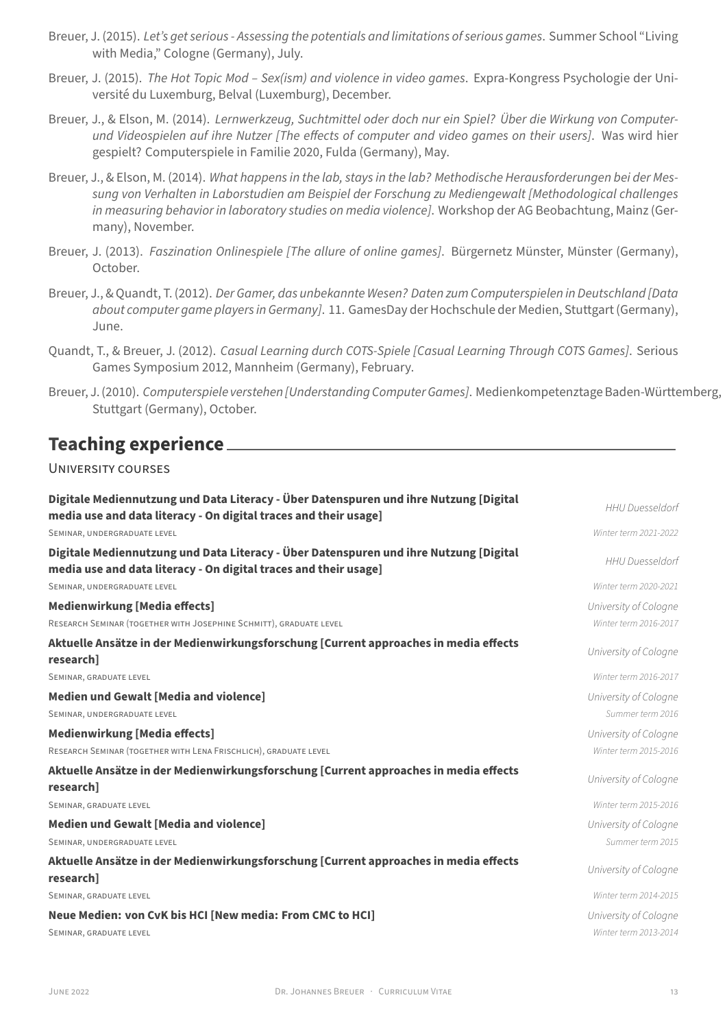- Breuer, J. (2015). *Let's get serious ‑ Assessing the potentials and limitations of serious games*. Summer School "Living with Media," Cologne (Germany), July.
- Breuer, J. (2015). *The Hot Topic Mod Sex(ism) and violence in video games*. Expra-Kongress Psychologie der Université du Luxemburg, Belval (Luxemburg), December.
- Breuer, J., & Elson, M. (2014). *Lernwerkzeug, Suchtmittel oder doch nur ein Spiel? Über die Wirkung von Computer‑ und Videospielen auf ihre Nutzer [The effects of computer and video games on their users]*. Was wird hier gespielt? Computerspiele in Familie 2020, Fulda (Germany), May.
- Breuer, J., & Elson, M. (2014). *What happens in the lab, stays in the lab? Methodische Herausforderungen bei der Mes‑ sung von Verhalten in Laborstudien am Beispiel der Forschung zu Mediengewalt [Methodological challenges in measuring behavior in laboratory studies on media violence]*. Workshop der AG Beobachtung, Mainz (Ger‑ many), November.
- Breuer, J. (2013). *Faszination Onlinespiele [The allure of online games]*. Bürgernetz Münster, Münster (Germany), October.
- Breuer, J., & Quandt, T. (2012). *Der Gamer, das unbekannte Wesen? Daten zum Computerspielen in Deutschland [Data about computer game players in Germany]*. 11. GamesDay der Hochschule der Medien, Stuttgart (Germany), June.
- Quandt, T., & Breuer, J. (2012). *Casual Learning durch COTS‑Spiele [Casual Learning Through COTS Games]*. Serious Games Symposium 2012, Mannheim (Germany), February.
- Breuer, J. (2010). *Computerspiele verstehen[Understanding Computer Games]*. Medienkompetenztage Baden‑Württemberg, Stuttgart (Germany), October.

# **Teaching experience**

## UNiVERSiTY COURSES

| Digitale Mediennutzung und Data Literacy - Über Datenspuren und ihre Nutzung [Digital<br>media use and data literacy - On digital traces and their usage] | <b>HHU Duesseldorf</b> |
|-----------------------------------------------------------------------------------------------------------------------------------------------------------|------------------------|
| SEMINAR, UNDERGRADUATE LEVEL                                                                                                                              | Winter term 2021-2022  |
| Digitale Mediennutzung und Data Literacy - Über Datenspuren und ihre Nutzung [Digital<br>media use and data literacy - On digital traces and their usage] | <b>HHU Duesseldorf</b> |
| SEMINAR, UNDERGRADUATE LEVEL                                                                                                                              | Winter term 2020-2021  |
| Medienwirkung [Media effects]                                                                                                                             | University of Cologne  |
| RESEARCH SEMINAR (TOGETHER WITH JOSEPHINE SCHMITT), GRADUATE LEVEL                                                                                        | Winter term 2016-2017  |
| Aktuelle Ansätze in der Medienwirkungsforschung [Current approaches in media effects<br>research]                                                         | University of Cologne  |
| SEMINAR, GRADUATE LEVEL                                                                                                                                   | Winter term 2016-2017  |
| <b>Medien und Gewalt [Media and violence]</b>                                                                                                             | University of Cologne  |
| SEMINAR, UNDERGRADUATE LEVEL                                                                                                                              | Summer term 2016       |
| Medienwirkung [Media effects]                                                                                                                             | University of Cologne  |
| RESEARCH SEMINAR (TOGETHER WITH LENA FRISCHLICH), GRADUATE LEVEL                                                                                          | Winter term 2015-2016  |
| Aktuelle Ansätze in der Medienwirkungsforschung [Current approaches in media effects<br>research]                                                         | University of Cologne  |
| SEMINAR, GRADUATE LEVEL                                                                                                                                   | Winter term 2015-2016  |
| <b>Medien und Gewalt [Media and violence]</b>                                                                                                             | University of Cologne  |
| SEMINAR, UNDERGRADUATE LEVEL                                                                                                                              | Summer term 2015       |
| Aktuelle Ansätze in der Medienwirkungsforschung [Current approaches in media effects<br>researchl                                                         | University of Cologne  |
| SEMINAR, GRADUATE LEVEL                                                                                                                                   | Winter term 2014-2015  |
| Neue Medien: von CvK bis HCI [New media: From CMC to HCI]                                                                                                 | University of Cologne  |
| SEMINAR, GRADUATE LEVEL                                                                                                                                   | Winter term 2013-2014  |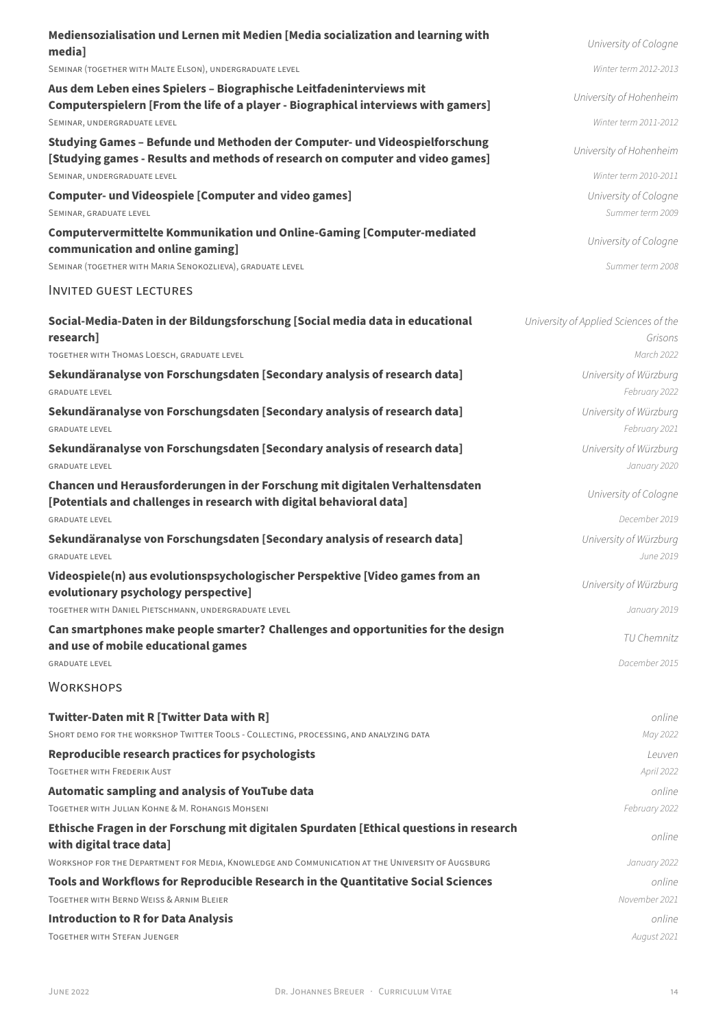| Mediensozialisation und Lernen mit Medien [Media socialization and learning with<br>media]                                                                    | University of Cologne                            |
|---------------------------------------------------------------------------------------------------------------------------------------------------------------|--------------------------------------------------|
| SEMINAR (TOGETHER WITH MALTE ELSON), UNDERGRADUATE LEVEL                                                                                                      | Winter term 2012-2013                            |
| Aus dem Leben eines Spielers - Biographische Leitfadeninterviews mit<br>Computerspielern [From the life of a player - Biographical interviews with gamers]    | University of Hohenheim                          |
| SEMINAR, UNDERGRADUATE LEVEL                                                                                                                                  | Winter term 2011-2012                            |
| Studying Games - Befunde und Methoden der Computer- und Videospielforschung<br>[Studying games - Results and methods of research on computer and video games] | University of Hohenheim                          |
| SEMINAR, UNDERGRADUATE LEVEL                                                                                                                                  | Winter term 2010-2011                            |
| <b>Computer- und Videospiele [Computer and video games]</b><br>SEMINAR, GRADUATE LEVEL                                                                        | University of Cologne<br>Summer term 2009        |
| Computervermittelte Kommunikation und Online-Gaming [Computer-mediated<br>communication and online gaming]                                                    | University of Cologne                            |
| SEMINAR (TOGETHER WITH MARIA SENOKOZLIEVA), GRADUATE LEVEL                                                                                                    | Summer term 2008                                 |
| <b>INVITED GUEST LECTURES</b>                                                                                                                                 |                                                  |
| Social-Media-Daten in der Bildungsforschung [Social media data in educational<br>research]                                                                    | University of Applied Sciences of the<br>Grisons |
| TOGETHER WITH THOMAS LOESCH, GRADUATE LEVEL                                                                                                                   | March 2022                                       |
| Sekundäranalyse von Forschungsdaten [Secondary analysis of research data]<br><b>GRADUATE LEVEL</b>                                                            | University of Würzburg<br>February 2022          |
| Sekundäranalyse von Forschungsdaten [Secondary analysis of research data]<br><b>GRADUATE LEVEL</b>                                                            | University of Würzburg<br>February 2021          |
| Sekundäranalyse von Forschungsdaten [Secondary analysis of research data]<br><b>GRADUATE LEVEL</b>                                                            | University of Würzburg<br>January 2020           |
| Chancen und Herausforderungen in der Forschung mit digitalen Verhaltensdaten<br>[Potentials and challenges in research with digital behavioral data]          | University of Cologne                            |
| <b>GRADUATE LEVEL</b>                                                                                                                                         | December 2019                                    |
| Sekundäranalyse von Forschungsdaten [Secondary analysis of research data]<br><b>GRADUATE LEVEL</b>                                                            | University of Würzburg<br>June 2019              |
| Videospiele(n) aus evolutionspsychologischer Perspektive [Video games from an<br>evolutionary psychology perspective]                                         | University of Würzburg                           |
| TOGETHER WITH DANIEL PIETSCHMANN, UNDERGRADUATE LEVEL                                                                                                         | January 2019                                     |
| Can smartphones make people smarter? Challenges and opportunities for the design<br>and use of mobile educational games                                       | TU Chemnitz                                      |
| <b>GRADUATE LEVEL</b>                                                                                                                                         | Dacember 2015                                    |
| <b>WORKSHOPS</b>                                                                                                                                              |                                                  |
| Twitter-Daten mit R [Twitter Data with R]                                                                                                                     | online                                           |
| SHORT DEMO FOR THE WORKSHOP TWITTER TOOLS - COLLECTING, PROCESSING, AND ANALYZING DATA                                                                        | May 2022                                         |
| <b>Reproducible research practices for psychologists</b><br><b>TOGETHER WITH FREDERIK AUST</b>                                                                | Leuven                                           |
|                                                                                                                                                               | April 2022                                       |
| <b>Automatic sampling and analysis of YouTube data</b><br>TOGETHER WITH JULIAN KOHNE & M. ROHANGIS MOHSENI                                                    | online<br>February 2022                          |
| Ethische Fragen in der Forschung mit digitalen Spurdaten [Ethical questions in research                                                                       |                                                  |
| with digital trace data]                                                                                                                                      | online                                           |
| WORKSHOP FOR THE DEPARTMENT FOR MEDIA, KNOWLEDGE AND COMMUNICATION AT THE UNIVERSITY OF AUGSBURG                                                              | January 2022                                     |
| Tools and Workflows for Reproducible Research in the Quantitative Social Sciences<br><b>TOGETHER WITH BERND WEISS &amp; ARNIM BLEIER</b>                      | online<br>November 2021                          |
|                                                                                                                                                               |                                                  |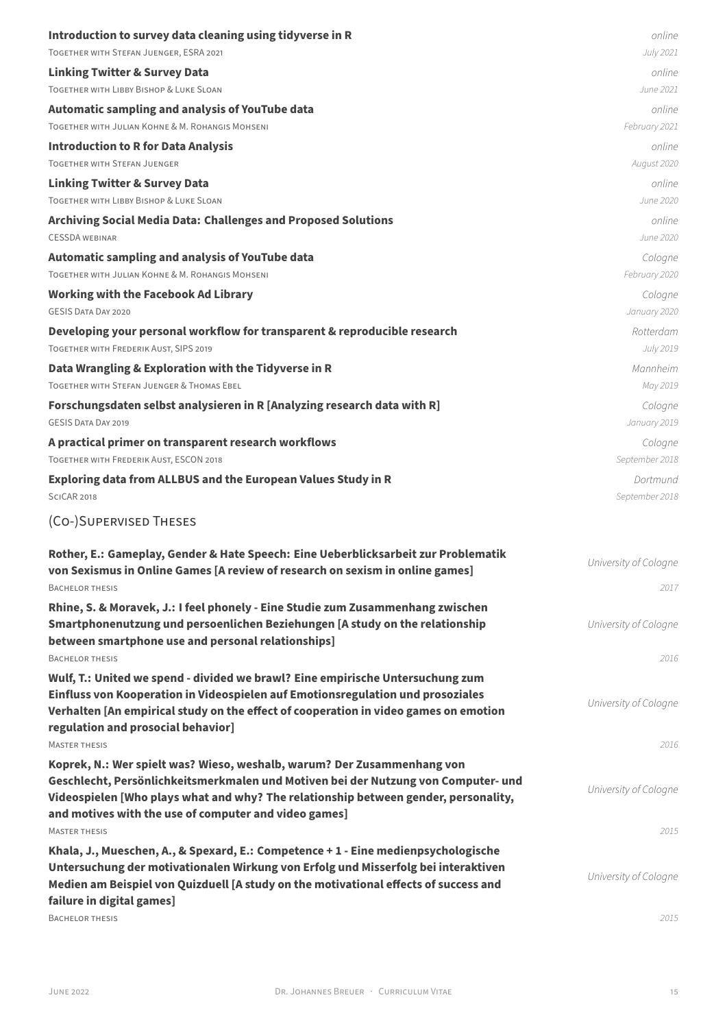| Introduction to survey data cleaning using tidyverse in R                                                                                                     | online                |
|---------------------------------------------------------------------------------------------------------------------------------------------------------------|-----------------------|
| TOGETHER WITH STEFAN JUENGER, ESRA 2021                                                                                                                       | July 2021             |
| <b>Linking Twitter &amp; Survey Data</b>                                                                                                                      | online                |
| TOGETHER WITH LIBBY BISHOP & LUKE SLOAN                                                                                                                       | June 2021             |
| <b>Automatic sampling and analysis of YouTube data</b>                                                                                                        | online                |
| TOGETHER WITH JULIAN KOHNE & M. ROHANGIS MOHSENI                                                                                                              | February 2021         |
| <b>Introduction to R for Data Analysis</b>                                                                                                                    | online                |
| <b>TOGETHER WITH STEFAN JUENGER</b>                                                                                                                           | August 2020           |
| <b>Linking Twitter &amp; Survey Data</b>                                                                                                                      | online                |
| <b>TOGETHER WITH LIBBY BISHOP &amp; LUKE SLOAN</b>                                                                                                            | June 2020             |
| <b>Archiving Social Media Data: Challenges and Proposed Solutions</b>                                                                                         | online                |
| <b>CESSDA WEBINAR</b>                                                                                                                                         | June 2020             |
| <b>Automatic sampling and analysis of YouTube data</b>                                                                                                        | Cologne               |
| TOGETHER WITH JULIAN KOHNE & M. ROHANGIS MOHSENI                                                                                                              | February 2020         |
| <b>Working with the Facebook Ad Library</b>                                                                                                                   | Cologne               |
| <b>GESIS DATA DAY 2020</b>                                                                                                                                    | January 2020          |
| Developing your personal workflow for transparent & reproducible research                                                                                     | Rotterdam             |
| TOGETHER WITH FREDERIK AUST, SIPS 2019                                                                                                                        | July 2019             |
| Data Wrangling & Exploration with the Tidyverse in R                                                                                                          | Mannheim              |
| <b>TOGETHER WITH STEFAN JUENGER &amp; THOMAS EBEL</b>                                                                                                         | May 2019              |
| Forschungsdaten selbst analysieren in R [Analyzing research data with R]                                                                                      | Cologne               |
| <b>GESIS DATA DAY 2019</b>                                                                                                                                    | January 2019          |
| A practical primer on transparent research workflows                                                                                                          | Cologne               |
| TOGETHER WITH FREDERIK AUST, ESCON 2018                                                                                                                       | September 2018        |
| <b>Exploring data from ALLBUS and the European Values Study in R</b>                                                                                          | Dortmund              |
| <b>SCICAR 2018</b>                                                                                                                                            | September 2018        |
| (CO-)SUPERVISED THESES                                                                                                                                        |                       |
| Rother, E.: Gameplay, Gender & Hate Speech: Eine Ueberblicksarbeit zur Problematik                                                                            |                       |
| von Sexismus in Online Games [A review of research on sexism in online games]                                                                                 | University of Cologne |
| <b>BACHELOR THESIS</b>                                                                                                                                        | 2017                  |
| Rhine, S. & Moravek, J.: I feel phonely - Eine Studie zum Zusammenhang zwischen                                                                               |                       |
| Smartphonenutzung und persoenlichen Beziehungen [A study on the relationship                                                                                  | University of Cologne |
| between smartphone use and personal relationships]                                                                                                            |                       |
| <b>BACHELOR THESIS</b>                                                                                                                                        | 2016                  |
| Wulf, T.: United we spend - divided we brawl? Eine empirische Untersuchung zum                                                                                |                       |
| Einfluss von Kooperation in Videospielen auf Emotionsregulation und prosoziales                                                                               | University of Cologne |
| Verhalten [An empirical study on the effect of cooperation in video games on emotion                                                                          |                       |
| regulation and prosocial behavior]                                                                                                                            |                       |
| <b>MASTER THESIS</b>                                                                                                                                          | 2016                  |
| Koprek, N.: Wer spielt was? Wieso, weshalb, warum? Der Zusammenhang von<br>Geschlecht, Persönlichkeitsmerkmalen und Motiven bei der Nutzung von Computer- und |                       |
| Videospielen [Who plays what and why? The relationship between gender, personality,                                                                           | University of Cologne |
| and motives with the use of computer and video games]                                                                                                         |                       |
| <b>MASTER THESIS</b>                                                                                                                                          | 2015                  |
| Khala, J., Mueschen, A., & Spexard, E.: Competence + 1 - Eine medienpsychologische                                                                            |                       |
| Untersuchung der motivationalen Wirkung von Erfolg und Misserfolg bei interaktiven                                                                            |                       |
| Medien am Beispiel von Quizduell [A study on the motivational effects of success and                                                                          | University of Cologne |
| failure in digital games]                                                                                                                                     |                       |
| <b>BACHELOR THESIS</b>                                                                                                                                        | 2015                  |
|                                                                                                                                                               |                       |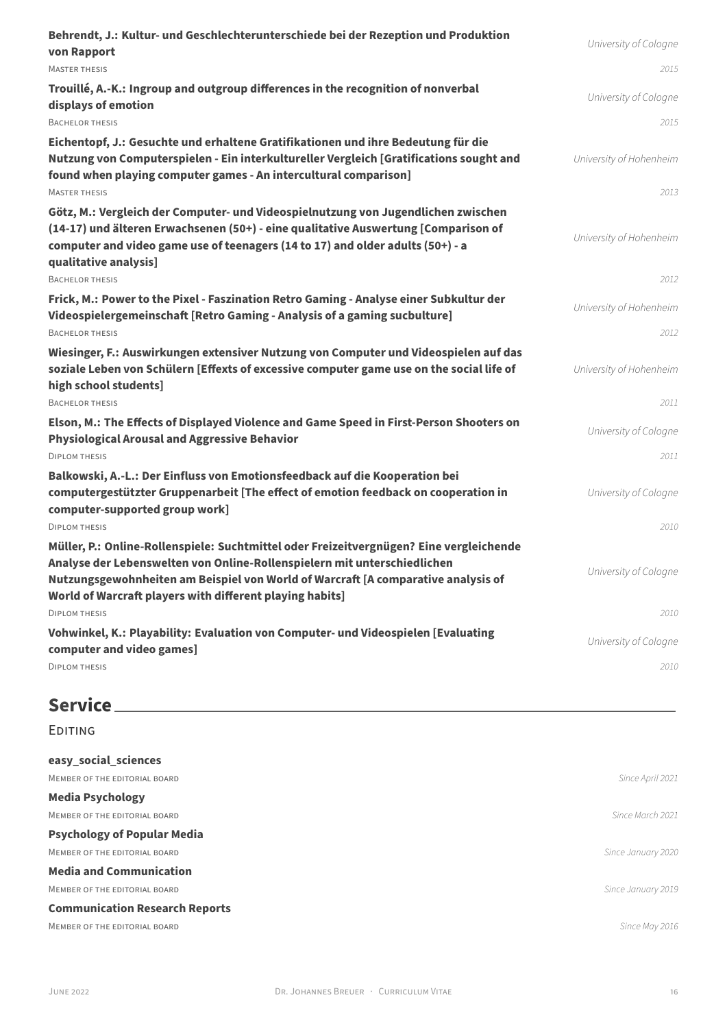| Behrendt, J.: Kultur- und Geschlechterunterschiede bei der Rezeption und Produktion<br>von Rapport                                                                                                                                                                                                                   | University of Cologne           |
|----------------------------------------------------------------------------------------------------------------------------------------------------------------------------------------------------------------------------------------------------------------------------------------------------------------------|---------------------------------|
| <b>MASTER THESIS</b>                                                                                                                                                                                                                                                                                                 | 2015                            |
| Trouillé, A.-K.: Ingroup and outgroup differences in the recognition of nonverbal<br>displays of emotion                                                                                                                                                                                                             | University of Cologne           |
| <b>BACHELOR THESIS</b>                                                                                                                                                                                                                                                                                               | 2015                            |
| Eichentopf, J.: Gesuchte und erhaltene Gratifikationen und ihre Bedeutung für die<br>Nutzung von Computerspielen - Ein interkultureller Vergleich [Gratifications sought and<br>found when playing computer games - An intercultural comparison]<br><b>MASTER THESIS</b>                                             | University of Hohenheim<br>2013 |
| Götz, M.: Vergleich der Computer- und Videospielnutzung von Jugendlichen zwischen<br>(14-17) und älteren Erwachsenen (50+) - eine qualitative Auswertung [Comparison of<br>computer and video game use of teenagers (14 to 17) and older adults (50+) - a<br>qualitative analysis]                                   | University of Hohenheim         |
| <b>BACHELOR THESIS</b>                                                                                                                                                                                                                                                                                               | 2012                            |
| Frick, M.: Power to the Pixel - Faszination Retro Gaming - Analyse einer Subkultur der<br>Videospielergemeinschaft [Retro Gaming - Analysis of a gaming sucbulture]                                                                                                                                                  | University of Hohenheim         |
| <b>BACHELOR THESIS</b>                                                                                                                                                                                                                                                                                               | 2012                            |
| Wiesinger, F.: Auswirkungen extensiver Nutzung von Computer und Videospielen auf das<br>soziale Leben von Schülern [Effexts of excessive computer game use on the social life of<br>high school students]                                                                                                            | University of Hohenheim         |
| <b>BACHELOR THESIS</b>                                                                                                                                                                                                                                                                                               | 2011                            |
| Elson, M.: The Effects of Displayed Violence and Game Speed in First-Person Shooters on<br><b>Physiological Arousal and Aggressive Behavior</b>                                                                                                                                                                      | University of Cologne           |
| <b>DIPLOM THESIS</b>                                                                                                                                                                                                                                                                                                 | 2011                            |
| Balkowski, A.-L.: Der Einfluss von Emotionsfeedback auf die Kooperation bei<br>computergestützter Gruppenarbeit [The effect of emotion feedback on cooperation in<br>computer-supported group work]                                                                                                                  | University of Cologne           |
| <b>DIPLOM THESIS</b>                                                                                                                                                                                                                                                                                                 | 2010                            |
| Müller, P.: Online-Rollenspiele: Suchtmittel oder Freizeitvergnügen? Eine vergleichende<br>Analyse der Lebenswelten von Online-Rollenspielern mit unterschiedlichen<br>Nutzungsgewohnheiten am Beispiel von World of Warcraft [A comparative analysis of<br>World of Warcraft players with different playing habits] | University of Cologne           |
| <b>DIPLOM THESIS</b>                                                                                                                                                                                                                                                                                                 | 2010                            |
| Vohwinkel, K.: Playability: Evaluation von Computer- und Videospielen [Evaluating<br>computer and video games]                                                                                                                                                                                                       | University of Cologne           |
| <b>DIPLOM THESIS</b>                                                                                                                                                                                                                                                                                                 | 2010                            |
| Service.                                                                                                                                                                                                                                                                                                             |                                 |

| <b>EDITING</b>                        |                    |
|---------------------------------------|--------------------|
| easy_social_sciences                  |                    |
| MEMBER OF THE EDITORIAL BOARD         | Since April 2021   |
| <b>Media Psychology</b>               |                    |
| MEMBER OF THE EDITORIAL BOARD         | Since March 2021   |
| <b>Psychology of Popular Media</b>    |                    |
| MEMBER OF THE EDITORIAL BOARD         | Since January 2020 |
| <b>Media and Communication</b>        |                    |
| MEMBER OF THE EDITORIAL BOARD         | Since January 2019 |
| <b>Communication Research Reports</b> |                    |
| MEMBER OF THE EDITORIAL BOARD         | Since May 2016     |